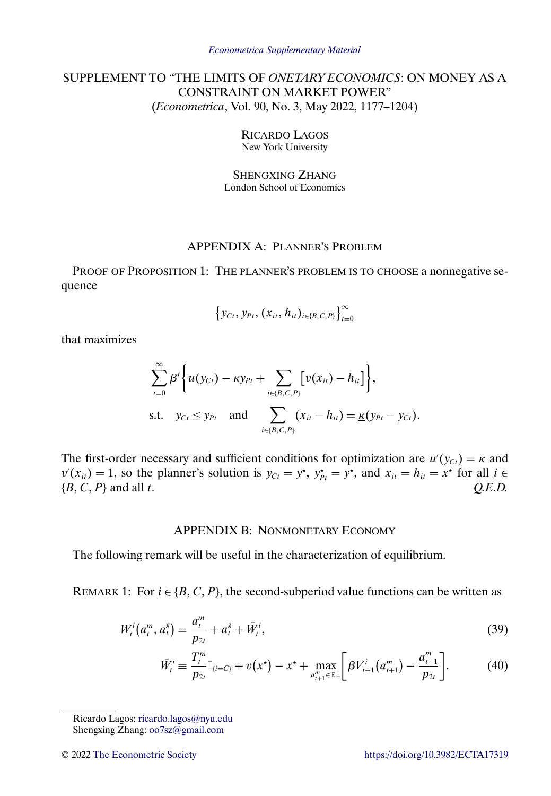# <span id="page-0-0"></span>SUPPLEMENT TO "THE LIMITS OF *ONETARY ECONOMICS*: ON MONEY AS A CONSTRAINT ON MARKET POWER" (*Econometrica*, Vol. 90, No. 3, May 2022, 1177–1204)

RICARDO LAGOS New York University

SHENGXING ZHANG London School of Economics

## APPENDIX A: PLANNER'S PROBLEM

PROOF OF PROPOSITION 1: THE PLANNER'S PROBLEM IS TO CHOOSE a nonnegative sequence

$$
\left\{y_{Ct}, y_{Pt}, (x_{it}, h_{it})_{i \in \{B, C, P\}}\right\}_{t=0}^{\infty}
$$

that maximizes

$$
\sum_{t=0}^{\infty} \beta^{t} \Biggl\{ u(y_{Ct}) - \kappa y_{Pt} + \sum_{i \in \{B,C,P\}} \Bigl[ v(x_{it}) - h_{it} \Bigr] \Biggr\},\
$$
  
s.t.  $y_{Ct} \leq y_{Pt}$  and 
$$
\sum_{i \in \{B,C,P\}} (x_{it} - h_{it}) = \underline{\kappa}(y_{Pt} - y_{Ct}).
$$

The first-order necessary and sufficient conditions for optimization are  $u'(y_{Ct}) = \kappa$  and  $v'(x_{it}) = 1$ , so the planner's solution is  $y_{Cr} = y^*$ ,  $y_{Pt}^* = y^*$ , and  $x_{it} = h_{it} = x^*$  for all  $i \in$  $\{B, C, P\}$  and all t.  $Q.E.D.$ 

### APPENDIX B: NONMONETARY ECONOMY

The following remark will be useful in the characterization of equilibrium.

REMARK 1: For  $i \in \{B, C, P\}$ , the second-subperiod value functions can be written as

$$
W_t^i(a_t^m, a_t^s) = \frac{a_t^m}{p_{2t}} + a_t^s + \bar{W}_t^i,
$$
\n(39)

$$
\bar{W}_t^i \equiv \frac{T_t^m}{p_{2t}} \mathbb{I}_{\{i=C\}} + v(x^\star) - x^\star + \max_{d_{t+1}^m \in \mathbb{R}_+} \left[ \beta V_{t+1}^i \big( a_{t+1}^m \big) - \frac{a_{t+1}^m}{p_{2t}} \right]. \tag{40}
$$

Ricardo Lagos: [ricardo.lagos@nyu.edu](mailto:ricardo.lagos@nyu.edu) Shengxing Zhang: [oo7sz@gmail.com](mailto:oo7sz@gmail.com)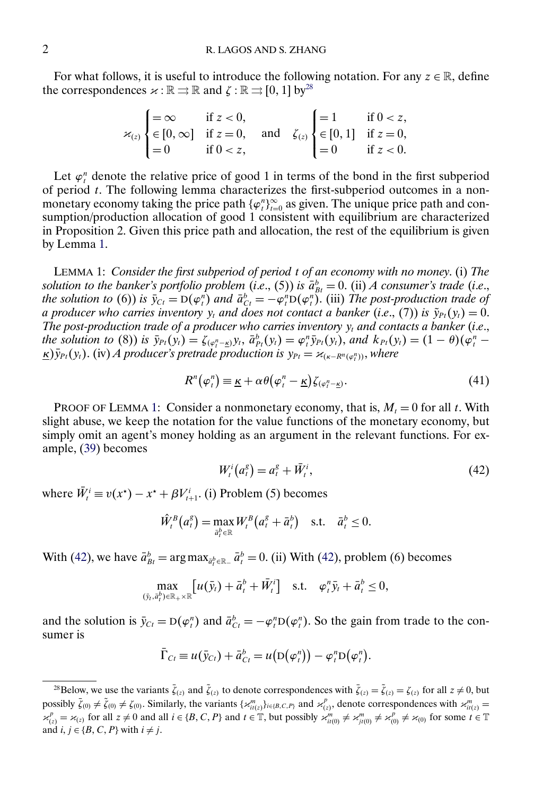<span id="page-1-0"></span>For what follows, it is useful to introduce the following notation. For any  $z \in \mathbb{R}$ , define the correspondences  $\varkappa : \mathbb{R} \rightrightarrows \mathbb{R}$  and  $\zeta : \mathbb{R} \rightrightarrows [0, 1]$  by<sup>28</sup>

$$
\varkappa_{(z)}\begin{cases} =\infty & \text{if } z < 0, \\ \in [0,\infty] & \text{if } z = 0, \\ =0 & \text{if } 0 < z, \end{cases} \text{ and } \zeta_{(z)}\begin{cases} =1 & \text{if } 0 < z, \\ \in [0,1] & \text{if } z = 0, \\ =0 & \text{if } z < 0. \end{cases}
$$

Let  $\varphi_t^n$  denote the relative price of good 1 in terms of the bond in the first subperiod of period  $t$ . The following lemma characterizes the first-subperiod outcomes in a nonmonetary economy taking the price path  $\{\varphi_t^n\}_{t=0}^{\infty}$  as given. The unique price path and consumption/production allocation of good 1 consistent with equilibrium are characterized in Proposition 2. Given this price path and allocation, the rest of the equilibrium is given by Lemma 1.

LEMMA 1: *Consider the first subperiod of period* t *of an economy with no money*. (i) *The solution to the banker's portfolio problem (i.e., (5)) is*  $\bar{a}_{Bt}^b = 0$ *. (ii) <i>A consumer's trade (i.e., the solution to* (6)) *is*  $\bar{y}_{Ct} = D(\varphi_t^n)$  *and*  $\bar{a}_{Ct}^b = -\varphi_t^n D(\varphi_t^n)$ . (iii) *The post-production trade of a producer who carries inventory*  $y_t$  *and does not contact a banker* (*i.e.*, (7)) *is*  $\tilde{y}_{Pt}(y_t) = 0$ . *The post-production trade of a producer who carries inventory*  $y_t$  *and contacts a banker (i.e., the solution to* (8)) *is*  $\bar{y}_{Pt}(y_t) = \zeta_{(\varphi_t^n - \underline{\kappa})} y_t$ ,  $\bar{a}_{Pt}^b(y_t) = \varphi_t^n \bar{y}_{Pt}(y_t)$ , and  $k_{Pt}(y_t) = (1 - \theta)(\varphi_t^n - \varphi_t^n)$  $\underline{\kappa}$ ) $\bar{y}_{Pt}(y_t)$ . (iv) *A* producer's pretrade production is  $y_{Pt} = \varkappa_{(\kappa - R^n(\varphi_t^n))}$ , where

$$
R^{n}(\varphi_{t}^{n}) \equiv \underline{\kappa} + \alpha \theta(\varphi_{t}^{n} - \underline{\kappa}) \zeta_{(\varphi_{t}^{n} - \underline{\kappa})}. \tag{41}
$$

PROOF OF LEMMA 1: Consider a nonmonetary economy, that is,  $M_t = 0$  for all t. With slight abuse, we keep the notation for the value functions of the monetary economy, but simply omit an agent's money holding as an argument in the relevant functions. For example, [\(39\)](#page-0-0) becomes

$$
W_t^i\big(a_t^g\big) = a_t^g + \bar{W}_t^i,\tag{42}
$$

where  $\overline{W}_t^i \equiv v(x^*) - x^* + \beta V_{t+1}^i$ . (i) Problem (5) becomes

$$
\hat{W}^B_t\big(a^g_t\big) = \max_{\bar{a}^b_t \in \mathbb{R}} W^B_t\big(a^g_t + \bar{a}^b_t\big) \quad \text{s.t.} \quad \bar{a}^b_t \leq 0.
$$

With (42), we have  $\bar{a}_{Bt}^b = \arg \max_{\bar{a}_t^b \in \mathbb{R}_+} \bar{a}_t^b = 0$ . (ii) With (42), problem (6) becomes

$$
\max_{(\bar{y}_t,\bar{a}_t^b)\in\mathbb{R}_+\times\mathbb{R}}\left[u(\bar{y}_t)+\bar{a}_t^b+\bar{W}_t^i\right] \quad \text{s.t.} \quad \varphi_t^n\bar{y}_t+\bar{a}_t^b\leq 0,
$$

and the solution is  $\bar{y}_{Ct} = D(\varphi_t^n)$  and  $\bar{a}_{Ct}^b = -\varphi_t^n D(\varphi_t^n)$ . So the gain from trade to the consumer is

$$
\overline{\Gamma}_{Ct} \equiv u(\overline{y}_{Ct}) + \overline{a}_{Ct}^{b} = u(D(\varphi_{t}^{n})) - \varphi_{t}^{n}D(\varphi_{t}^{n}).
$$

<sup>&</sup>lt;sup>28</sup>Below, we use the variants  $\bar{\zeta}_{(z)}$  and  $\tilde{\zeta}_{(z)}$  to denote correspondences with  $\bar{\zeta}_{(z)} = \tilde{\zeta}_{(z)} = \zeta_{(z)}$  for all  $z \neq 0$ , but possibly  $\bar{\zeta}_{(0)} \neq \tilde{\zeta}_{(0)} \neq \zeta_{(0)}$ . Similarly, the variants  $\{x_{ii(z)}^m\}_{i \in [B,C,P]}$  and  $x_{(z)}^p$ , denote correspondences with  $x_{ii(z)}^m =$ <br> $x_{(z)}^p$  for all  $z \neq 0$  and all  $i \in \{B, C, P\}$  and  $t \in \mathbb{T}$ , but possib and  $i, j \in \{B, C, P\}$  with  $i \neq j$ .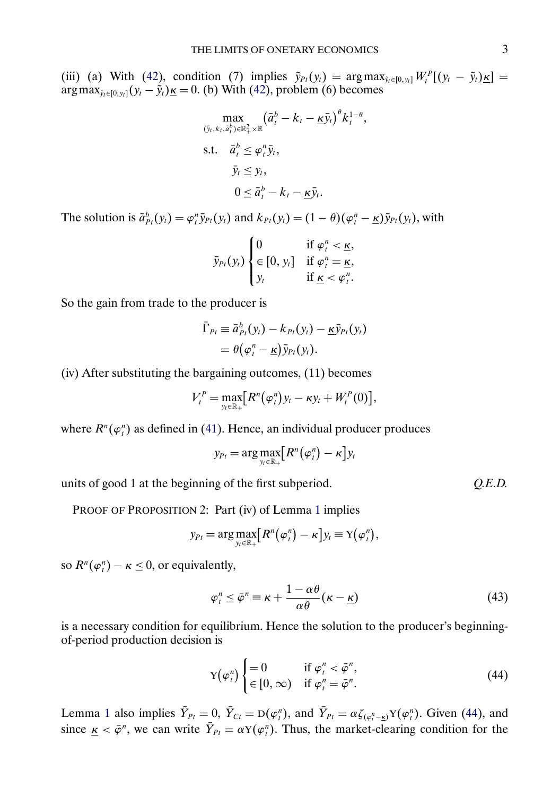<span id="page-2-0"></span>(iii) (a) With [\(42\)](#page-1-0), condition (7) implies  $\tilde{y}_{Pt}(y_t) = \arg \max_{\tilde{y}_t \in [0, y_t]} W_t^P[(y_t - \tilde{y}_t) \underline{\kappa}] =$  $\arg \max_{\tilde{y}_t \in [0, y_t]} (y_t - \tilde{y}_t) \underline{\kappa} = 0.$  (b) With [\(42\)](#page-1-0), problem (6) becomes

$$
\max_{(\bar{y}_t, k_t, \bar{a}_t^b) \in \mathbb{R}_+^2 \times \mathbb{R}} (\bar{a}_t^b - k_t - \underline{\kappa} \bar{y}_t)^{\theta} k_t^{1-\theta},
$$
  
s.t.  $\bar{a}_t^b \le \varphi_t^n \bar{y}_t,$   
 $\bar{y}_t \le y_t,$   
 $0 \le \bar{a}_t^b - k_t - \underline{\kappa} \bar{y}_t.$ 

The solution is  $\bar{a}_{P_t}^b(y_t) = \varphi_t^n \bar{y}_{P_t}(y_t)$  and  $k_{P_t}(y_t) = (1 - \theta)(\varphi_t^n - \underline{\kappa}) \bar{y}_{P_t}(y_t)$ , with

$$
\bar{y}_{Pt}(y_t) \begin{cases} 0 & \text{if } \varphi_t^n < \underline{\kappa}, \\ \in [0, y_t] & \text{if } \varphi_t^n = \underline{\kappa}, \\ y_t & \text{if } \underline{\kappa} < \varphi_t^n. \end{cases}
$$

So the gain from trade to the producer is

$$
\bar{\Gamma}_{Pt} \equiv \bar{a}_{Pt}^b(y_t) - k_{Pt}(y_t) - \underline{\kappa} \bar{y}_{Pt}(y_t) \n= \theta(\varphi_t^n - \underline{\kappa}) \bar{y}_{Pt}(y_t).
$$

(iv) After substituting the bargaining outcomes, (11) becomes

$$
V_t^P = \max_{y_t \in \mathbb{R}_+} [R^n(\varphi_t^n)y_t - \kappa y_t + W_t^P(0)],
$$

where  $R^n(\varphi^n_t)$  as defined in [\(41\)](#page-1-0). Hence, an individual producer produces

$$
y_{Pt} = \arg \max_{y_t \in \mathbb{R}_+} [R^n(\varphi_t^n) - \kappa] y_t
$$

units of good 1 at the beginning of the first subperiod. *Q.E.D.*

PROOF OF PROPOSITION 2: Part (iv) of Lemma [1](#page-1-0) implies

$$
y_{Pt} = \arg \max_{y_t \in \mathbb{R}_+} [R^n(\varphi_t^n) - \kappa] y_t \equiv Y(\varphi_t^n),
$$

so  $R^n(\varphi^n_t) - \kappa \leq 0$ , or equivalently,

$$
\varphi_t^n \le \bar{\varphi}^n \equiv \kappa + \frac{1 - \alpha \theta}{\alpha \theta} (\kappa - \underline{\kappa}) \tag{43}
$$

is a necessary condition for equilibrium. Hence the solution to the producer's beginningof-period production decision is

$$
Y(\varphi_t^n) \begin{cases} = 0 & \text{if } \varphi_t^n < \bar{\varphi}^n, \\ \in [0, \infty) & \text{if } \varphi_t^n = \bar{\varphi}^n. \end{cases} \tag{44}
$$

Lemma [1](#page-1-0) also implies  $\hat{Y}_{Pt} = 0$ ,  $Y_{Ct} = D(\varphi_t^n)$ , and  $Y_{Pt} = \alpha \zeta_{(\varphi_t^n - \underline{\kappa})} Y(\varphi_t^n)$ . Given (44), and since  $\underline{\kappa} < \overline{\varphi}^n$ , we can write  $Y_{Pt} = \alpha Y(\varphi_t^n)$ . Thus, the market-clearing condition for the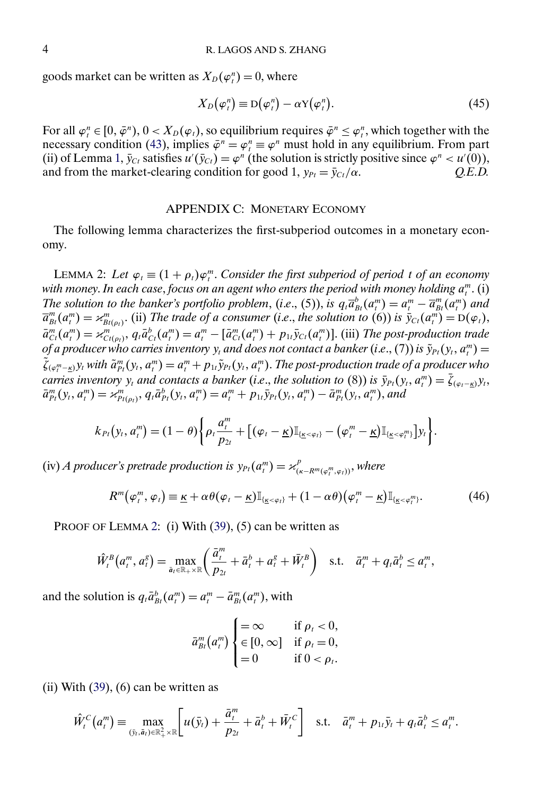<span id="page-3-0"></span>goods market can be written as  $X_D(\varphi_t^n) = 0$ , where

$$
X_D(\varphi_t^n) \equiv D(\varphi_t^n) - \alpha Y(\varphi_t^n). \tag{45}
$$

For all  $\varphi_t^n \in [0, \bar{\varphi}^n), 0 < X_D(\varphi_t)$ , so equilibrium requires  $\bar{\varphi}^n \leq \varphi_t^n$ , which together with the necessary condition [\(43\)](#page-2-0), implies  $\bar{\varphi}^n = \varphi^n$  must hold in any equilibrium. From part (ii) of Lemma [1,](#page-1-0)  $\bar{y}_{Ct}$  satisfies  $u'(\bar{y}_{Ct}) = \varphi^n$  (the solution is strictly positive since  $\varphi^n < u'(0)$ ), and from the market-clearing condition for good 1,  $y_{Pt} = \bar{y}_{Ct}/\alpha$ . *Q.E.D.* 

## APPENDIX C: MONETARY ECONOMY

The following lemma characterizes the first-subperiod outcomes in a monetary economy.

LEMMA 2: Let  $\varphi_t \equiv (1 + \rho_t)\varphi_t^m$ . *Consider the first subperiod of period t of an economy* with money. In each case, focus on an agent who enters the period with money holding  $a^m_i$ . (i) *The solution to the banker's portfolio problem, (i.e., (5)), is*  $q_t \overline{a}_{Bt}^b(a_t^m) = a_t^m - \overline{a}_{Bt}^m(a_t^m)$  *and*  $\overline{a}_{Bt}^{m}(a_{t}^{m}) = \varkappa_{Bt(\rho_{t})}^{m}$ . (ii) *The trade of a consumer* (*i.e.*, *the solution to* (6)) *is*  $\overline{y}_{Ct}(a_{t}^{m}) = D(\varphi_{t}),$  $\bar{a}^m_{C_t}(a^m_t) = \varkappa^m_{C_t(\rho_t)}, q_t \bar{a}^b_{C_t}(a^m_t) = a^m_t - [\bar{a}^m_{C_t}(a^m_t) + p_{1t}\bar{y}_{C_t}(a^m_t)].$  (iii) *The post-production trade*  $of$  a producer who carries inventory  $y_t$  and does not contact a banker (i.e., (7)) is  $\tilde{y}_{Pt}(y_t, a^m_t) =$  $\tilde{\zeta}_{(\varphi_i^m - \underline{\kappa})}$ y<sub>t</sub> with  $\tilde{a}_{Pt}^m(y_t, a_i^m) = a_i^m + p_{1t} \tilde{y}_{Pt}(y_t, a_i^m)$ . The post-production trade of a producer who *carries inventory*  $y_t$  *and contacts a banker (i.e., the solution to (8)) is*  $\bar{y}_{Pt}(y_t, a_t^m) = \zeta_{(\varphi_t - \underline{\kappa})} y_t$ ,  $\bar{a}^m_{Pt}(y_t, a^m_t) = \varkappa^m_{Pt(\rho_t)}, q_t \bar{a}^b_{Pt}(y_t, a^m_t) = a^m_t + p_{1t} \bar{y}_{Pt}(y_t, a^m_t) - \bar{a}^m_{Pt}(y_t, a^m_t),$  and

$$
k_{Pt}(y_t,a_t^m)=(1-\theta)\bigg\{\rho_t\frac{a_t^m}{p_{2t}}+\big[(\varphi_t-\underline{\kappa})\mathbb{I}_{\{\underline{\kappa}<\varphi_t\}}-(\varphi_t^m-\underline{\kappa})\mathbb{I}_{\{\underline{\kappa}<\varphi_t^m\}}\big]y_t\bigg\}.
$$

(iv) *A* producer's pretrade production is  $y_{Pt}(a_t^m) = \varkappa_{(\kappa - R^m(\varphi_t^m, \varphi_t))}^p$ , where

$$
R^{m}(\varphi_{t}^{m},\varphi_{t})\equiv\underline{\kappa}+\alpha\theta(\varphi_{t}-\underline{\kappa})\mathbb{I}_{\{\underline{\kappa}<\varphi_{t}\}}+(1-\alpha\theta)(\varphi_{t}^{m}-\underline{\kappa})\mathbb{I}_{\{\underline{\kappa}<\varphi_{t}^{m}\}}.\tag{46}
$$

PROOF OF LEMMA 2: (i) With [\(39\)](#page-0-0), (5) can be written as

$$
\hat{W}_t^B(a_t^m, a_t^g) = \max_{\bar{a}_t \in \mathbb{R}_+ \times \mathbb{R}} \left( \frac{\bar{a}_t^m}{p_{2t}} + \bar{a}_t^b + a_t^g + \bar{W}_t^B \right) \quad \text{s.t.} \quad \bar{a}_t^m + q_t \bar{a}_t^b \le a_t^m,
$$

and the solution is  $q_t \bar{a}_{Bt}^b(a_t^m) = a_t^m - \bar{a}_{Bt}^m(a_t^m)$ , with

$$
\bar{a}_{Bt}^m(a_t^m) \begin{cases}\n= \infty & \text{if } \rho_t < 0, \\
\in [0, \infty] & \text{if } \rho_t = 0, \\
= 0 & \text{if } 0 < \rho_t.\n\end{cases}
$$

(ii) With  $(39)$ ,  $(6)$  can be written as

$$
\hat{W}_t^C(a_t^m) \equiv \max_{(\bar{y}_t, \bar{a}_t) \in \mathbb{R}_+^2 \times \mathbb{R}} \left[ u(\bar{y}_t) + \frac{\bar{a}_t^m}{p_{2t}} + \bar{a}_t^b + \bar{W}_t^C \right] \quad \text{s.t.} \quad \bar{a}_t^m + p_{1t} \bar{y}_t + q_t \bar{a}_t^b \le a_t^m.
$$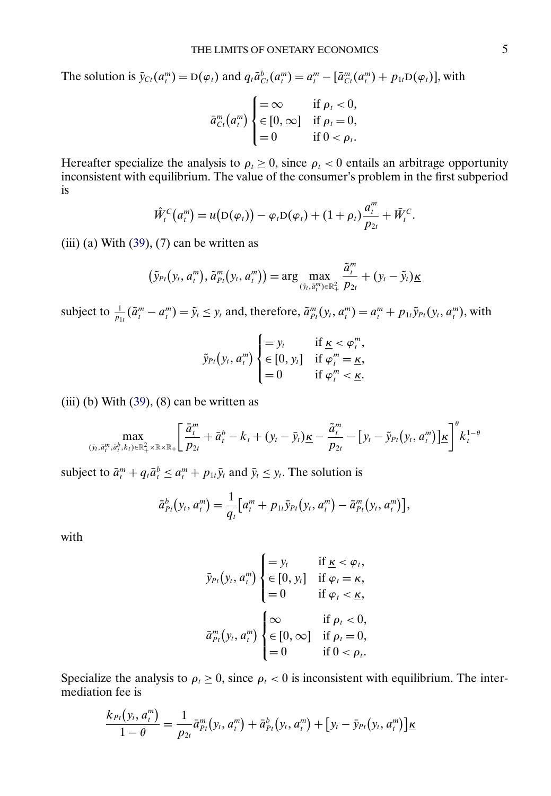The solution is  $\bar{y}_{Ct}(a_t^m) = D(\varphi_t)$  and  $q_t \bar{a}_{Ct}^b(a_t^m) = a_t^m - [\bar{a}_{Ct}^m(a_t^m) + p_{1t}D(\varphi_t)],$  with

$$
\bar{a}_{Ct}^{m}(a_{t}^{m})\begin{cases}=\infty & \text{if } \rho_{t}<0, \\ \in [0,\infty] & \text{if } \rho_{t}=0, \\=0 & \text{if } 0<\rho_{t}.\end{cases}
$$

Hereafter specialize the analysis to  $\rho_t \ge 0$ , since  $\rho_t < 0$  entails an arbitrage opportunity inconsistent with equilibrium. The value of the consumer's problem in the first subperiod is

$$
\hat{W}_t^C\big(a_t^m\big) = u\big(\mathcal{D}(\varphi_t)\big) - \varphi_t \mathcal{D}(\varphi_t) + (1+\rho_t) \frac{a_t^m}{p_{2t}} + \bar{W}_t^C.
$$

(iii) (a) With  $(39)$ ,  $(7)$  can be written as

$$
(\tilde{y}_{Pt}(y_t, a_t^m), \tilde{a}_{Pt}^m(y_t, a_t^m)) = \arg \max_{(\tilde{y}_t, \tilde{a}_t^m) \in \mathbb{R}_+^2} \frac{\tilde{a}_t^m}{p_{2t}} + (y_t - \tilde{y}_t) \underline{\kappa}
$$

subject to  $\frac{1}{p_{1t}}(\tilde{a}^m_t - a^m_t) = \tilde{y}_t \leq y_t$  and, therefore,  $\tilde{a}^m_{Pt}(y_t, a^m_t) = a^m_t + p_{1t}\tilde{y}_{Pt}(y_t, a^m_t)$ , with

$$
\tilde{y}_{Pt}(y_t, a_t^m) \begin{cases} = y_t & \text{if } \underline{\kappa} < \varphi_t^m, \\ \in [0, y_t] & \text{if } \varphi_t^m = \underline{\kappa}, \\ = 0 & \text{if } \varphi_t^m < \underline{\kappa}. \end{cases}
$$

(iii) (b) With  $(39)$ ,  $(8)$  can be written as

$$
\max_{(\bar{y}_t,\bar{a}_t^m,\bar{a}_t^b,k_t)\in\mathbb{R}_+^2\times\mathbb{R}\times\mathbb{R}_+} \left[\frac{\bar{a}_t^m}{p_{2t}}+\bar{a}_t^b-k_t+(y_t-\bar{y}_t)\underline{\kappa}-\frac{\tilde{a}_t^m}{p_{2t}}-[y_t-\tilde{y}_{Pt}(y_t,a_t^m)]\underline{\kappa}\right]^\theta k_t^{1-\theta}
$$

subject to  $\bar{a}^m_t + q_t \bar{a}^b_t \le a^m_t + p_{1t} \bar{y}_t$  and  $\bar{y}_t \le y_t$ . The solution is

$$
\bar{a}_{Pt}^b(y_t, a_t^m) = \frac{1}{q_t} \big[ a_t^m + p_{1t} \bar{y}_{Pt}(y_t, a_t^m) - \bar{a}_{Pt}^m(y_t, a_t^m) \big],
$$

with

$$
\bar{y}_{Pt}(y_t, a_t^m) \begin{cases} = y_t & \text{if } \underline{\kappa} < \varphi_t, \\ \in [0, y_t] & \text{if } \varphi_t = \underline{\kappa}, \\ = 0 & \text{if } \varphi_t < \underline{\kappa}, \\ \bar{a}_{Pt}^m(y_t, a_t^m) \begin{cases} \infty & \text{if } \rho_t < 0, \\ \in [0, \infty] & \text{if } \rho_t = 0, \\ = 0 & \text{if } 0 < \rho_t. \end{cases}
$$

Specialize the analysis to  $\rho_t \ge 0$ , since  $\rho_t < 0$  is inconsistent with equilibrium. The intermediation fee is

$$
\frac{k_{Pt}(y_t, a_t^m)}{1-\theta} = \frac{1}{p_{2t}} \bar{a}_{Pt}^m(y_t, a_t^m) + \bar{a}_{Pt}^b(y_t, a_t^m) + [y_t - \bar{y}_{Pt}(y_t, a_t^m)] \underline{\kappa}
$$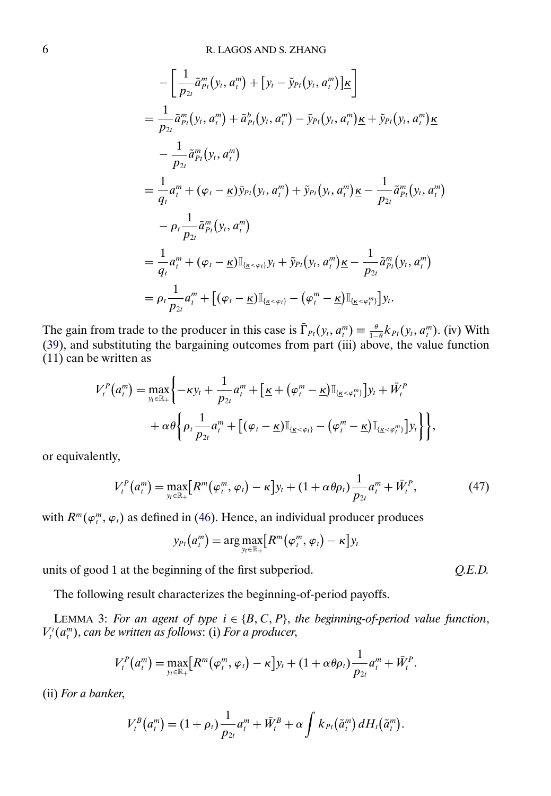<span id="page-5-0"></span>
$$
-\left[\frac{1}{p_{2t}}\tilde{a}_{Pt}^{m}(y_{t}, a_{t}^{m}) + [y_{t} - \tilde{y}_{Pt}(y_{t}, a_{t}^{m})]\underline{\kappa}\right]
$$
\n
$$
=\frac{1}{p_{2t}}\bar{a}_{Pt}^{m}(y_{t}, a_{t}^{m}) + \bar{a}_{Pt}^{b}(y_{t}, a_{t}^{m}) - \bar{y}_{Pt}(y_{t}, a_{t}^{m})\underline{\kappa} + \tilde{y}_{Pt}(y_{t}, a_{t}^{m})\underline{\kappa}
$$
\n
$$
-\frac{1}{p_{2t}}\tilde{a}_{Pt}^{m}(y_{t}, a_{t}^{m})
$$
\n
$$
=\frac{1}{q_{t}}a_{t}^{m} + (\varphi_{t} - \underline{\kappa})\bar{y}_{Pt}(y_{t}, a_{t}^{m}) + \tilde{y}_{Pt}(y_{t}, a_{t}^{m})\underline{\kappa} - \frac{1}{p_{2t}}\tilde{a}_{Pt}^{m}(y_{t}, a_{t}^{m})
$$
\n
$$
-\rho_{t}\frac{1}{p_{2t}}\bar{a}_{Pt}^{m}(y_{t}, a_{t}^{m})
$$
\n
$$
=\frac{1}{q_{t}}a_{t}^{m} + (\varphi_{t} - \underline{\kappa})\mathbb{I}_{\{\underline{\kappa} < \varphi_{t}\}}y_{t} + \tilde{y}_{Pt}(y_{t}, a_{t}^{m})\underline{\kappa} - \frac{1}{p_{2t}}\tilde{a}_{Pt}^{m}(y_{t}, a_{t}^{m})
$$
\n
$$
=\rho_{t}\frac{1}{p_{2t}}a_{t}^{m} + [(\varphi_{t} - \underline{\kappa})\mathbb{I}_{\{\underline{\kappa} < \varphi_{t}\}} - (\varphi_{t}^{m} - \underline{\kappa})\mathbb{I}_{\{\underline{\kappa} < \varphi_{t}\}}]y_{t}.
$$

The gain from trade to the producer in this case is  $\overline{\Gamma}_{Pt}(y_t, a_t^m) \equiv \frac{\theta}{1-\theta} k_{Pt}(y_t, a_t^m)$ . (iv) With [\(39\)](#page-0-0), and substituting the bargaining outcomes from part (iii) above, the value function (11) can be written as

$$
V_t^P(a_i^m) = \max_{y_t \in \mathbb{R}_+} \left\{ -\kappa y_t + \frac{1}{p_{2t}} a_i^m + \left[ \underline{\kappa} + (\varphi_i^m - \underline{\kappa}) \mathbb{I}_{\{\underline{\kappa} < \varphi_i^m\}} \right] y_t + \bar{W}_t^P \right. \\ \left. + \alpha \theta \left\{ \rho_t \frac{1}{p_{2t}} a_i^m + \left[ (\varphi_t - \underline{\kappa}) \mathbb{I}_{\{\underline{\kappa} < \varphi_t\}} - (\varphi_i^m - \underline{\kappa}) \mathbb{I}_{\{\underline{\kappa} < \varphi_i^m\}} \right] y_t \right\} \right\},
$$

or equivalently,

$$
V_t^P(a_t^m) = \max_{y_t \in \mathbb{R}_+} [R^m(\varphi_t^m, \varphi_t) - \kappa] y_t + (1 + \alpha \theta \rho_t) \frac{1}{p_{2t}} a_t^m + \bar{W}_t^P, \tag{47}
$$

with  $R^m(\varphi_t^m, \varphi_t)$  as defined in [\(46\)](#page-3-0). Hence, an individual producer produces

$$
y_{Pt}(a_t^m) = \arg \max_{y_t \in \mathbb{R}_+} \bigl[ R^m(\varphi_t^m, \varphi_t) - \kappa \bigr] y_t
$$

units of good 1 at the beginning of the first subperiod. *Q.E.D.*

The following result characterizes the beginning-of-period payoffs.

LEMMA 3: For an agent of type  $i \in \{B, C, P\}$ , the beginning-of-period value function,  $V_t^i(a_t^m)$ , can be written as follows: (i) For a producer,

$$
V_t^P(a_i^m)=\max_{y_t\in\mathbb{R}_+}\bigl[R^m(\varphi_i^m,\varphi_i)-\kappa\bigr]y_t+(1+\alpha\theta\rho_t)\frac{1}{p_{2t}}a_i^m+\bar{W}_t^P.
$$

(ii) *For a banker*,

$$
V_t^B(a_t^m)=(1+\rho_t)\frac{1}{p_{2t}}a_t^m+\bar{W}_t^B+\alpha\int k_{Pt}(\tilde{a}_t^m) dH_t(\tilde{a}_t^m).
$$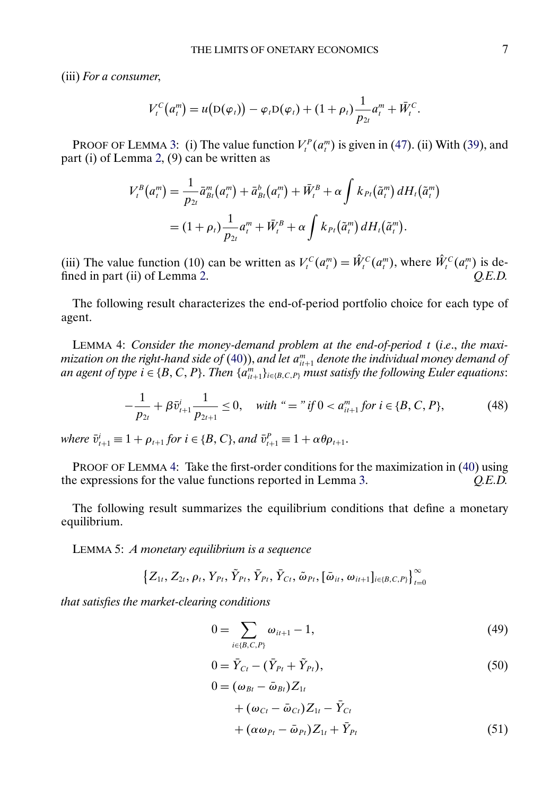<span id="page-6-0"></span>(iii) *For a consumer*,

$$
V_t^C(a_t^m) = u(D(\varphi_t)) - \varphi_t D(\varphi_t) + (1 + \rho_t) \frac{1}{p_{2t}} a_t^m + \bar{W}_t^C.
$$

PROOF OF LEMMA [3:](#page-5-0) (i) The value function  $V_t^P(a_t^m)$  is given in [\(47\)](#page-5-0). (ii) With [\(39\)](#page-0-0), and part (i) of Lemma [2,](#page-3-0) (9) can be written as

$$
V_t^B(a_t^m) = \frac{1}{p_{2t}} \bar{a}_{Bt}^m(a_t^m) + \bar{a}_{Bt}^b(a_t^m) + \bar{W}_t^B + \alpha \int k_{Pt}(\tilde{a}_t^m) dH_t(\tilde{a}_t^m)
$$
  
=  $(1 + \rho_t) \frac{1}{p_{2t}} a_t^m + \bar{W}_t^B + \alpha \int k_{Pt}(\tilde{a}_t^m) dH_t(\tilde{a}_t^m).$ 

(iii) The value function (10) can be written as  $V_t^C(a_t^m) = \tilde{W}_t^C(a_t^m)$ , where  $\tilde{W}_t^C(a_t^m)$  is de-fined in part (ii) of Lemma [2.](#page-3-0) *Q.E.D.* 

The following result characterizes the end-of-period portfolio choice for each type of agent.

LEMMA 4: *Consider the money-demand problem at the end-of-period* t (*i*.*e*., *the maxi*mization on the right-hand side of  $(40)$ ), and let  $a^{m}_{i t+1}$  denote the individual money demand of an agent of type  $i \in \{B, C, P\}$ . Then  $\{a_{it+1}^m\}_{i \in \{B, C, P\}}$  must satisfy the following Euler equations:

$$
-\frac{1}{p_{2t}} + \beta \bar{v}_{t+1}^i \frac{1}{p_{2t+1}} \le 0, \quad \text{with } \text{``} = \text{"if } 0 < a_{it+1}^m \text{ for } i \in \{B, C, P\},\tag{48}
$$

 $where \ \bar{v}_{t+1}^i \equiv 1 + \rho_{t+1} \text{ for } i \in \{B, C\}, and \ \bar{v}_{t+1}^P \equiv 1 + \alpha \theta \rho_{t+1}.$ 

PROOF OF LEMMA 4: Take the first-order conditions for the maximization in [\(40\)](#page-0-0) using the expressions for the value functions reported in Lemma [3.](#page-5-0) *Q.E.D.*

The following result summarizes the equilibrium conditions that define a monetary equilibrium.

LEMMA 5: *A monetary equilibrium is a sequence*

$$
\left\{Z_{1t}, Z_{2t}, \rho_t, Y_{Pt}, \tilde{Y}_{Pt}, \bar{Y}_{Pt}, \bar{Y}_{Ct}, \tilde{\omega}_{Pt}, [\bar{\omega}_{it}, \omega_{it+1}]_{i \in \{B, C, P\}}\right\}_{t=0}^{\infty}
$$

*that satisfies the market-clearing conditions*

$$
0 = \sum_{i \in \{B, C, P\}} \omega_{it+1} - 1,\tag{49}
$$

$$
0 = \bar{Y}_{Ct} - (\bar{Y}_{Pt} + \tilde{Y}_{Pt}),
$$
\n(50)

$$
0 = (\omega_{Bt} - \bar{\omega}_{Bt})Z_{1t}
$$
  
+  $(\omega_{Ct} - \bar{\omega}_{Ct})Z_{1t} - \bar{Y}_{Ct}$   
+  $(\alpha \omega_{Pt} - \bar{\omega}_{Pt})Z_{1t} + \bar{Y}_{Pt}$  (51)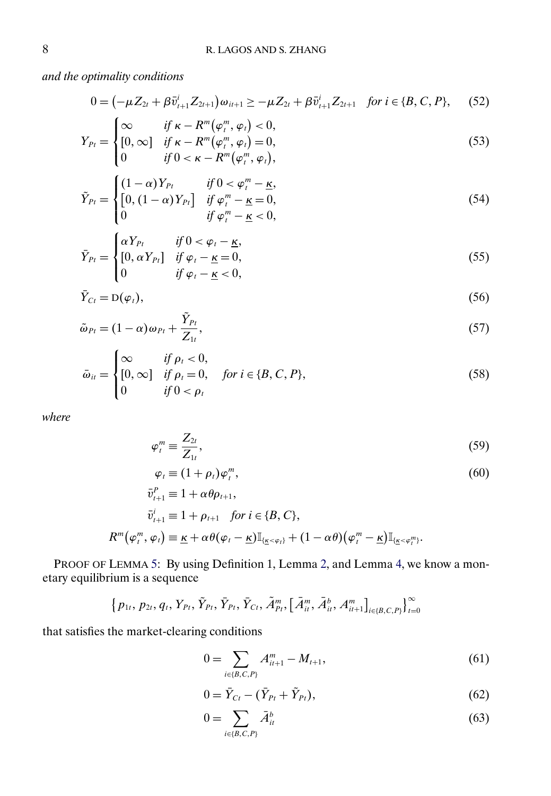<span id="page-7-0"></span>*and the optimality conditions*

$$
0 = (-\mu Z_{2t} + \beta \bar{v}_{t+1}^i Z_{2t+1}) \omega_{it+1} \ge -\mu Z_{2t} + \beta \bar{v}_{t+1}^i Z_{2t+1} \quad \text{for } i \in \{B, C, P\}, \tag{52}
$$

$$
Y_{Pt} = \begin{cases} \infty & \text{if } \kappa - R^m(\varphi_i^m, \varphi_i) < 0, \\ [0, \infty] & \text{if } \kappa - R^m(\varphi_i^m, \varphi_i) = 0, \\ 0 & \text{if } 0 < \kappa - R^m(\varphi_i^m, \varphi_i), \end{cases} \tag{53}
$$

$$
\tilde{Y}_{Pt} = \begin{cases}\n(1-\alpha)Y_{Pt} & \text{if } 0 < \varphi_t^m - \underline{\kappa}, \\
[0, (1-\alpha)Y_{Pt}] & \text{if } \varphi_t^m - \underline{\kappa} = 0, \\
0 & \text{if } \varphi_t^m - \underline{\kappa} < 0,\n\end{cases}
$$
\n(54)

$$
\bar{Y}_{Pt} = \begin{cases}\n\alpha Y_{Pt} & \text{if } 0 < \varphi_t - \underline{\kappa}, \\
\left[0, \alpha Y_{Pt}\right] & \text{if } \varphi_t - \underline{\kappa} = 0, \\
0 & \text{if } \varphi_t - \underline{\kappa} < 0,\n\end{cases} \tag{55}
$$

$$
\bar{Y}_{C_t} = D(\varphi_t),\tag{56}
$$

$$
\tilde{\omega}_{Pt} = (1 - \alpha)\omega_{Pt} + \frac{\tilde{Y}_{Pt}}{Z_{1t}},\tag{57}
$$

$$
\bar{\omega}_{it} = \begin{cases}\n\infty & \text{if } \rho_t < 0, \\
[0, \infty] & \text{if } \rho_t = 0, \quad \text{for } i \in \{B, C, P\}, \\
0 & \text{if } 0 < \rho_t\n\end{cases}
$$
\n(58)

*where*

$$
\varphi_t^m \equiv \frac{Z_{2t}}{Z_{1t}},\tag{59}
$$

$$
\varphi_t \equiv (1 + \rho_t)\varphi_t^m,
$$
  
\n
$$
\bar{v}_{t+1}^P \equiv 1 + \alpha \theta \rho_{t+1},
$$
\n(60)

$$
\bar{v}_{t+1}^i \equiv 1 + \rho_{t+1} \quad \text{for } i \in \{B, C\},
$$
\n
$$
R^m(\varphi_t^m, \varphi_t) \equiv \underline{\kappa} + \alpha \theta(\varphi_t - \underline{\kappa}) \mathbb{I}_{\{\underline{\kappa} < \varphi_t\}} + (1 - \alpha \theta)(\varphi_t^m - \underline{\kappa}) \mathbb{I}_{\{\underline{\kappa} < \varphi_t^m\}}.
$$

PROOF OF LEMMA [5:](#page-6-0) By using Definition 1, Lemma [2,](#page-3-0) and Lemma [4,](#page-6-0) we know a monetary equilibrium is a sequence

$$
\left\{p_{1t}, p_{2t}, q_t, Y_{Pt}, \tilde{Y}_{Pt}, \bar{Y}_{Pt}, \bar{Y}_{Ct}, \tilde{A}_{Pt}^m, \left[\bar{A}_{it}^m, \bar{A}_{it}^b, A_{it+1}^m\right]_{i \in \{B, C, P\}}\right\}_{t=0}^{\infty}
$$

that satisfies the market-clearing conditions

$$
0 = \sum_{i \in \{B, C, P\}} A_{i t + 1}^m - M_{t + 1},\tag{61}
$$

$$
0 = \bar{Y}_{Ct} - (\bar{Y}_{Pt} + \tilde{Y}_{Pt}),
$$
\n(62)

$$
0 = \sum_{i \in \{B, C, P\}} \bar{A}_{it}^b \tag{63}
$$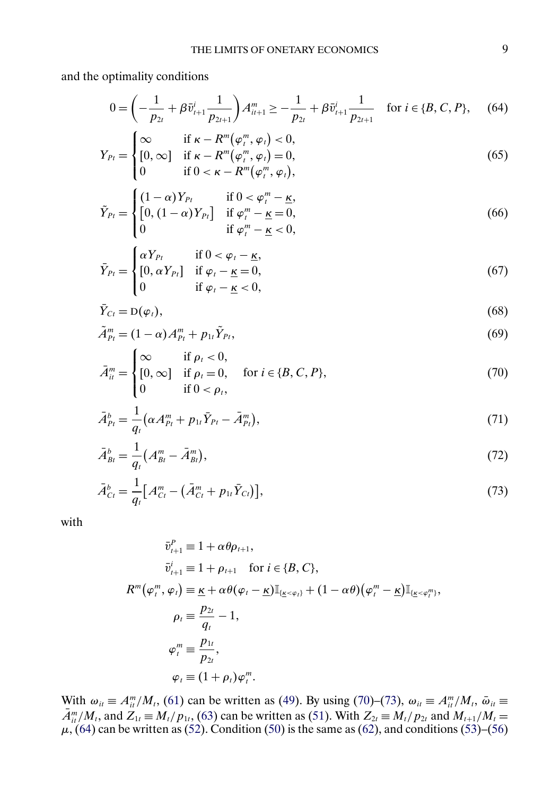<span id="page-8-0"></span>and the optimality conditions

$$
0 = \left(-\frac{1}{p_{2t}} + \beta \bar{v}_{t+1}^i \frac{1}{p_{2t+1}}\right) A_{it+1}^m \ge -\frac{1}{p_{2t}} + \beta \bar{v}_{t+1}^i \frac{1}{p_{2t+1}} \quad \text{for } i \in \{B, C, P\},\tag{64}
$$

$$
Y_{Pt} = \begin{cases} \infty & \text{if } \kappa - R^m(\varphi_t^m, \varphi_t) < 0, \\ [0, \infty] & \text{if } \kappa - R^m(\varphi_t^m, \varphi_t) = 0, \\ 0 & \text{if } 0 < \kappa - R^m(\varphi_t^m, \varphi_t), \end{cases} \tag{65}
$$

$$
\tilde{Y}_{Pt} = \begin{cases}\n(1-\alpha)Y_{Pt} & \text{if } 0 < \varphi_t^m - \underline{\kappa}, \\
[0, (1-\alpha)Y_{Pt}] & \text{if } \varphi_t^m - \underline{\kappa} = 0, \\
0 & \text{if } \varphi_t^m - \underline{\kappa} < 0,\n\end{cases}
$$
\n(66)

$$
\bar{Y}_{Pt} = \begin{cases}\n\alpha Y_{Pt} & \text{if } 0 < \varphi_t - \underline{\kappa}, \\
[0, \alpha Y_{Pt}] & \text{if } \varphi_t - \underline{\kappa} = 0, \\
0 & \text{if } \varphi_t - \underline{\kappa} < 0,\n\end{cases}
$$
\n(67)

$$
\bar{Y}_{C_t} = D(\varphi_t),\tag{68}
$$

$$
\tilde{A}_{P_t}^m = (1 - \alpha) A_{P_t}^m + p_{1t} \tilde{Y}_{P_t},
$$
\n(69)

$$
\bar{A}_{it}^{m} = \begin{cases}\n\infty & \text{if } \rho_t < 0, \\
[0, \infty] & \text{if } \rho_t = 0, \\
0 & \text{if } 0 < \rho_t,\n\end{cases} \quad \text{for } i \in \{B, C, P\},\n\tag{70}
$$

$$
\bar{A}_{Pt}^b = \frac{1}{q_t} \left( \alpha A_{Pt}^m + p_{1t} \bar{Y}_{Pt} - \bar{A}_{Pt}^m \right),\tag{71}
$$

$$
\bar{A}_{Bt}^{b} = \frac{1}{q_t} \left( A_{Bt}^{m} - \bar{A}_{Bt}^{m} \right),\tag{72}
$$

$$
\bar{A}_{C_t}^b = \frac{1}{q_t} \big[ A_{C_t}^m - (\bar{A}_{C_t}^m + p_{1t} \bar{Y}_{C_t}) \big],\tag{73}
$$

with

$$
\bar{v}_{t+1}^P \equiv 1 + \alpha \theta \rho_{t+1},
$$
\n
$$
\bar{v}_{t+1}^i \equiv 1 + \rho_{t+1} \quad \text{for } i \in \{B, C\},
$$
\n
$$
R^m(\varphi_t^m, \varphi_t) \equiv \underline{\kappa} + \alpha \theta(\varphi_t - \underline{\kappa}) \mathbb{I}_{\{\underline{\kappa} < \varphi_t\}} + (1 - \alpha \theta)(\varphi_t^m - \underline{\kappa}) \mathbb{I}_{\{\underline{\kappa} < \varphi_t^m\}},
$$
\n
$$
\rho_t \equiv \frac{p_{2t}}{q_t} - 1,
$$
\n
$$
\varphi_t^m \equiv \frac{p_{1t}}{p_{2t}},
$$
\n
$$
\varphi_t \equiv (1 + \rho_t) \varphi_t^m.
$$

With  $\omega_{it} \equiv A_{it}^m / M_t$ , [\(61\)](#page-7-0) can be written as [\(49\)](#page-6-0). By using (70)–(73),  $\omega_{it} \equiv A_{it}^m / M_t$ ,  $\bar{\omega}_{it} \equiv$  $A_{it}^m/M_t$ , and  $Z_{1t} \equiv M_t/p_{1t}$ , [\(63\)](#page-7-0) can be written as [\(51\)](#page-6-0). With  $Z_{2t} \equiv M_t/p_{2t}$  and  $M_{t+1}/M_t =$  $\mu$ , (64) can be written as [\(52\)](#page-7-0). Condition [\(50\)](#page-6-0) is the same as [\(62\)](#page-7-0), and conditions [\(53\)](#page-7-0)–[\(56\)](#page-7-0)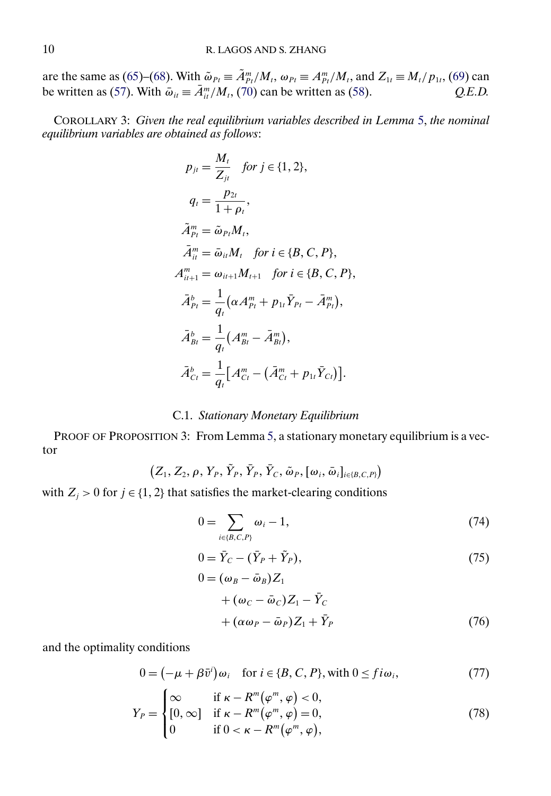<span id="page-9-0"></span>are the same as [\(65\)](#page-8-0)–[\(68\)](#page-8-0). With  $\tilde{\omega}_{Pt} \equiv \tilde{A}_{Pt}^m / M_t$ ,  $\omega_{Pt} \equiv A_{Pt}^m / M_t$ , and  $Z_{1t} \equiv M_t / p_{1t}$ , [\(69\)](#page-8-0) can be written as [\(57\)](#page-7-0). With  $\bar{\omega}_{it} \equiv A_{it}^{m}/M_t$ , [\(70\)](#page-8-0) can be written as [\(58\)](#page-7-0).  $Q.E.D.$ 

COROLLARY 3: *Given the real equilibrium variables described in Lemma* [5,](#page-6-0) *the nominal equilibrium variables are obtained as follows*:

$$
p_{jt} = \frac{M_t}{Z_{jt}} \quad \text{for } j \in \{1, 2\},
$$
\n
$$
q_t = \frac{p_{2t}}{1 + \rho_t},
$$
\n
$$
\tilde{A}_{Pt}^m = \tilde{\omega}_{Pt} M_t,
$$
\n
$$
\bar{A}_{it}^m = \bar{\omega}_{it} M_t \quad \text{for } i \in \{B, C, P\},
$$
\n
$$
A_{it+1}^m = \omega_{it+1} M_{t+1} \quad \text{for } i \in \{B, C, P\},
$$
\n
$$
\bar{A}_{Pt}^b = \frac{1}{q_t} (\alpha A_{Pt}^m + p_{1t} \bar{Y}_{Pt} - \bar{A}_{Pt}^m),
$$
\n
$$
\bar{A}_{Bt}^b = \frac{1}{q_t} (A_{Bt}^m - \bar{A}_{Bt}^m),
$$
\n
$$
\bar{A}_{Ct}^b = \frac{1}{q_t} [A_{Ct}^m - (\bar{A}_{Ct}^m + p_{1t} \bar{Y}_{Ct})].
$$

## C.1. *Stationary Monetary Equilibrium*

PROOF OF PROPOSITION 3: From Lemma [5,](#page-6-0) a stationary monetary equilibrium is a vector

$$
(Z_1,Z_2,\rho,Y_P,\tilde{Y}_P,Y_P,Y_C,\tilde{\omega}_P,[\omega_i,\bar{\omega}_i]_{i\in\{B,C,P\}})
$$

with  $Z_j > 0$  for  $j \in \{1, 2\}$  that satisfies the market-clearing conditions

$$
0 = \sum_{i \in \{B, C, P\}} \omega_i - 1,\tag{74}
$$

$$
0 = \bar{Y}_C - (\bar{Y}_P + \tilde{Y}_P),\tag{75}
$$

$$
0 = (\omega_B - \bar{\omega}_B)Z_1
$$
  
+  $(\omega_C - \bar{\omega}_C)Z_1 - \bar{Y}_C$   
+  $(\alpha \omega_P - \bar{\omega}_P)Z_1 + \bar{Y}_P$  (76)

and the optimality conditions

$$
0 = (-\mu + \beta \bar{v}^i)\omega_i \quad \text{for } i \in \{B, C, P\}, \text{with } 0 \leq f i \omega_i,
$$
 (77)

$$
Y_P = \begin{cases} \infty & \text{if } \kappa - R^m(\varphi^m, \varphi) < 0, \\ [0, \infty] & \text{if } \kappa - R^m(\varphi^m, \varphi) = 0, \\ 0 & \text{if } 0 < \kappa - R^m(\varphi^m, \varphi), \end{cases} \tag{78}
$$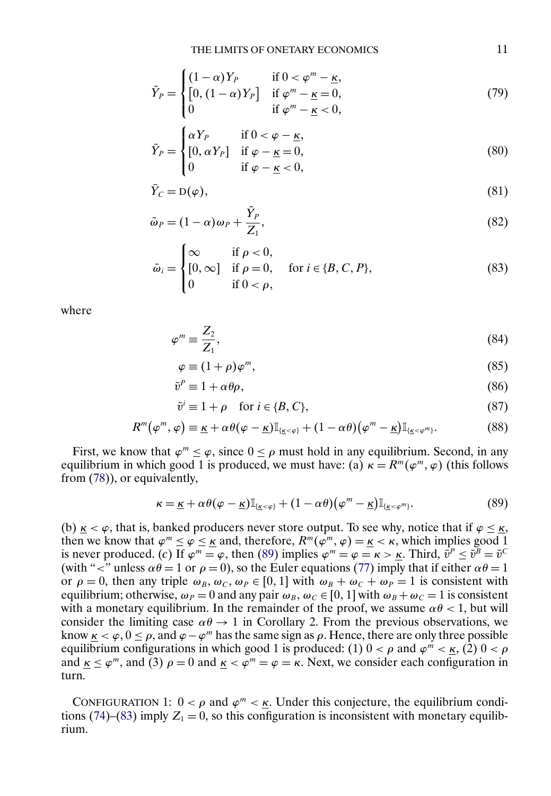<span id="page-10-0"></span>
$$
\tilde{Y}_P = \begin{cases}\n(1-\alpha)Y_P & \text{if } 0 < \varphi^m - \underline{\kappa}, \\
[0, (1-\alpha)Y_P] & \text{if } \varphi^m - \underline{\kappa} = 0, \\
0 & \text{if } \varphi^m - \underline{\kappa} < 0,\n\end{cases}
$$
\n(79)

$$
\bar{Y}_P = \begin{cases}\n\alpha Y_P & \text{if } 0 < \varphi - \underline{\kappa}, \\
[0, \alpha Y_P] & \text{if } \varphi - \underline{\kappa} = 0, \\
0 & \text{if } \varphi - \underline{\kappa} < 0,\n\end{cases}
$$
\n(80)

$$
\bar{Y}_C = D(\varphi),\tag{81}
$$

$$
\tilde{\omega}_P = (1 - \alpha)\omega_P + \frac{\tilde{Y}_P}{Z_1},\tag{82}
$$

$$
\bar{\omega}_i = \begin{cases}\n\infty & \text{if } \rho < 0, \\
[0, \infty] & \text{if } \rho = 0, \\
0 & \text{if } 0 < \rho,\n\end{cases} \quad \text{for } i \in \{B, C, P\},\n\tag{83}
$$

where

$$
\varphi^m \equiv \frac{Z_2}{Z_1},\tag{84}
$$

$$
\varphi \equiv (1+\rho)\varphi^m,\tag{85}
$$

$$
\bar{v}^P \equiv 1 + \alpha \theta \rho,\tag{86}
$$

$$
\bar{v}^i \equiv 1 + \rho \quad \text{for } i \in \{B, C\},\tag{87}
$$

$$
R^{m}(\varphi^{m},\varphi) \equiv \underline{\kappa} + \alpha \theta(\varphi - \underline{\kappa}) \mathbb{I}_{\{\underline{\kappa} < \varphi\}} + (1 - \alpha \theta)(\varphi^{m} - \underline{\kappa}) \mathbb{I}_{\{\underline{\kappa} < \varphi^{m}\}}.\tag{88}
$$

First, we know that  $\varphi^m \leq \varphi$ , since  $0 \leq \rho$  must hold in any equilibrium. Second, in any equilibrium in which good 1 is produced, we must have: (a)  $\kappa = R^m(\varphi^m, \varphi)$  (this follows from [\(78\)](#page-9-0)), or equivalently,

$$
\kappa = \underline{\kappa} + \alpha \theta (\varphi - \underline{\kappa}) \mathbb{I}_{\{\underline{\kappa} < \varphi\}} + (1 - \alpha \theta) (\varphi^m - \underline{\kappa}) \mathbb{I}_{\{\underline{\kappa} < \varphi^m\}}.\tag{89}
$$

(b)  $\kappa < \varphi$ , that is, banked producers never store output. To see why, notice that if  $\varphi \leq \kappa$ , then we know that  $\varphi^m \leq \varphi \leq \kappa$  and, therefore,  $R^m(\varphi^m, \varphi) = \kappa < \kappa$ , which implies good 1 is never produced. (*c*) If  $\varphi^m = \varphi$ , then (89) implies  $\varphi^m = \varphi = \kappa > \kappa$ . Third,  $\bar{v}^P \leq \bar{v}^B = \bar{v}^C$ (with " $\langle$ " unless  $\alpha\theta = 1$  or  $\rho = 0$ ), so the Euler equations [\(77\)](#page-9-0) imply that if either  $\alpha\theta = 1$ or  $\rho = 0$ , then any triple  $\omega_B$ ,  $\omega_C$ ,  $\omega_P \in [0, 1]$  with  $\omega_B + \omega_C + \omega_P = 1$  is consistent with equilibrium; otherwise,  $\omega_P = 0$  and any pair  $\omega_B$ ,  $\omega_C \in [0, 1]$  with  $\omega_B + \omega_C = 1$  is consistent with a monetary equilibrium. In the remainder of the proof, we assume  $\alpha\theta < 1$ , but will consider the limiting case  $\alpha\theta \rightarrow 1$  in Corollary 2. From the previous observations, we know  $\underline{\kappa} < \varphi$ ,  $0 \le \rho$ , and  $\varphi - \varphi^m$  has the same sign as  $\rho$ . Hence, there are only three possible equilibrium configurations in which good 1 is produced: (1)  $0 < \rho$  and  $\varphi^m < \kappa$ , (2)  $0 < \rho$ and  $\underline{\kappa} \leq \varphi^m$ , and (3)  $\rho = 0$  and  $\underline{\kappa} < \varphi^m = \varphi = \kappa$ . Next, we consider each configuration in turn.

CONFIGURATION 1:  $0 < \rho$  and  $\varphi^m < \kappa$ . Under this conjecture, the equilibrium condi-tions [\(74\)](#page-9-0)–(83) imply  $Z_1 = 0$ , so this configuration is inconsistent with monetary equilibrium.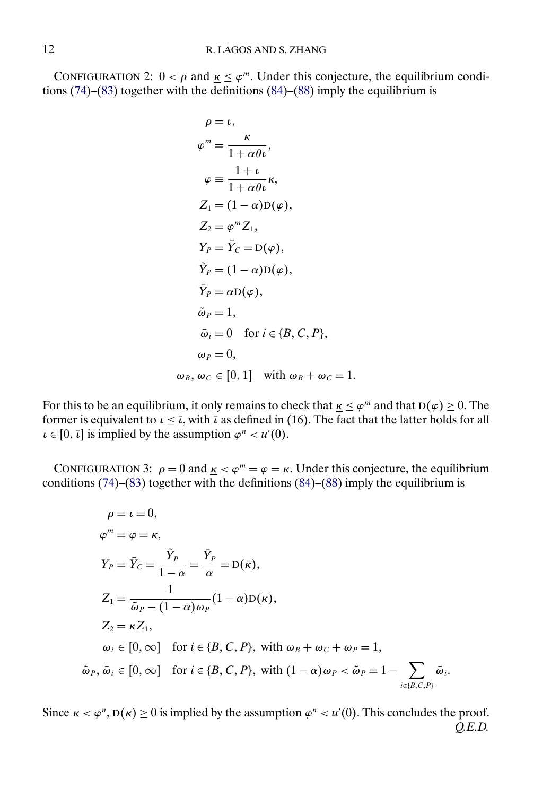CONFIGURATION 2:  $0 < \rho$  and  $\underline{\kappa} \leq \varphi^m$ . Under this conjecture, the equilibrium conditions  $(74)$ – $(83)$  together with the definitions  $(84)$ – $(88)$  imply the equilibrium is

$$
\rho = \iota,
$$
  
\n
$$
\varphi^{m} = \frac{\kappa}{1 + \alpha \theta \iota},
$$
  
\n
$$
\varphi = \frac{1 + \iota}{1 + \alpha \theta \iota} \kappa,
$$
  
\n
$$
Z_{1} = (1 - \alpha) D(\varphi),
$$
  
\n
$$
Z_{2} = \varphi^{m} Z_{1},
$$
  
\n
$$
Y_{P} = \overline{Y}_{C} = D(\varphi),
$$
  
\n
$$
\widetilde{Y}_{P} = (1 - \alpha) D(\varphi),
$$
  
\n
$$
\widetilde{Y}_{P} = \alpha D(\varphi),
$$
  
\n
$$
\widetilde{\omega}_{P} = 1,
$$
  
\n
$$
\widetilde{\omega}_{i} = 0 \text{ for } i \in \{B, C, P\},
$$
  
\n
$$
\omega_{P} = 0,
$$
  
\n
$$
\omega_{B}, \omega_{C} \in [0, 1] \text{ with } \omega_{B} + \omega_{C} = 1.
$$

For this to be an equilibrium, it only remains to check that  $\kappa \leq \varphi^m$  and that  $D(\varphi) \geq 0$ . The former is equivalent to  $\iota \leq \bar{\iota}$ , with  $\bar{\iota}$  as defined in (16). The fact that the latter holds for all  $\iota \in [0, \bar{\iota}]$  is implied by the assumption  $\varphi^n < \iota \iota'(0)$ .

CONFIGURATION 3:  $\rho = 0$  and  $\underline{\kappa} < \varphi^m = \varphi = \kappa$ . Under this conjecture, the equilibrium conditions  $(74)$ – $(83)$  together with the definitions  $(84)$ – $(88)$  imply the equilibrium is

$$
\rho = \iota = 0,
$$
  
\n
$$
\varphi^{m} = \varphi = \kappa,
$$
  
\n
$$
Y_{P} = \bar{Y}_{C} = \frac{\tilde{Y}_{P}}{1 - \alpha} = \frac{\bar{Y}_{P}}{\alpha} = D(\kappa),
$$
  
\n
$$
Z_{1} = \frac{1}{\tilde{\omega}_{P} - (1 - \alpha)\omega_{P}} (1 - \alpha)D(\kappa),
$$
  
\n
$$
Z_{2} = \kappa Z_{1},
$$
  
\n
$$
\omega_{i} \in [0, \infty] \text{ for } i \in \{B, C, P\}, \text{ with } \omega_{B} + \omega_{C} + \omega_{P} = 1,
$$
  
\n
$$
\tilde{\omega}_{P}, \tilde{\omega}_{i} \in [0, \infty] \text{ for } i \in \{B, C, P\}, \text{ with } (1 - \alpha)\omega_{P} < \tilde{\omega}_{P} = 1 - \sum_{i \in \{B, C, P\}} \tilde{\omega}_{i}.
$$

Since  $\kappa < \varphi^n$ ,  $D(\kappa) \ge 0$  is implied by the assumption  $\varphi^n < u'(0)$ . This concludes the proof. *Q.E.D.*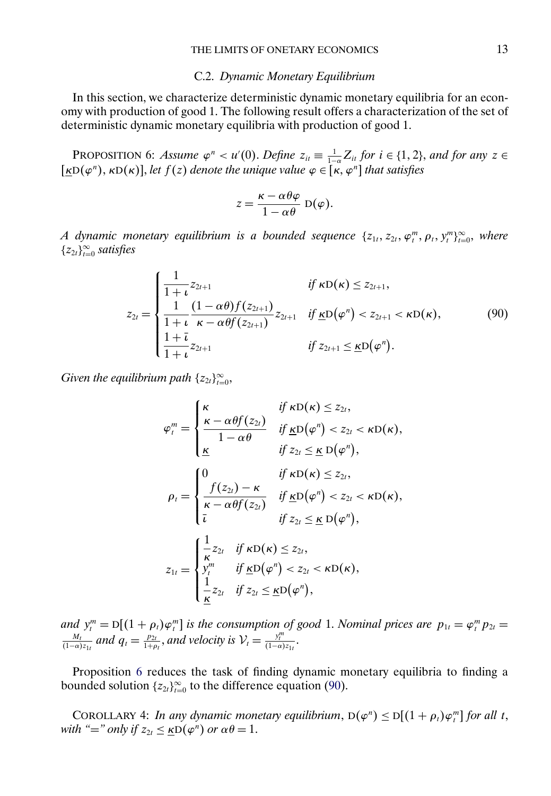#### C.2. *Dynamic Monetary Equilibrium*

<span id="page-12-0"></span>In this section, we characterize deterministic dynamic monetary equilibria for an economy with production of good 1. The following result offers a characterization of the set of deterministic dynamic monetary equilibria with production of good 1.

PROPOSITION 6: *Assume*  $\varphi^n < u'(0)$ . *Define*  $z_{it} \equiv \frac{1}{1-\alpha} Z_{it}$  *for*  $i \in \{1, 2\}$ , and for any  $z \in$  $[\underline{\kappa}D(\varphi^n), \kappa D(\kappa)]$ , *let*  $f(z)$  *denote the unique value*  $\varphi \in [\kappa, \varphi^n]$  *that satisfies* 

$$
z = \frac{\kappa - \alpha \theta \varphi}{1 - \alpha \theta} \mathbf{D}(\varphi).
$$

*A* dynamic monetary equilibrium is a bounded sequence  $\{z_{1t}, z_{2t}, \varphi_t^m, \rho_t, y_t^m\}_{t=0}^{\infty}$ , where  ${z_{2t}}_{t=0}^{\infty}$  *satisfies* 

$$
z_{2t} = \begin{cases} \frac{1}{1+t} z_{2t+1} & \text{if } \kappa D(\kappa) \leq z_{2t+1}, \\ \frac{1}{1+t} \frac{(1-\alpha\theta)f(z_{2t+1})}{\kappa - \alpha\theta f(z_{2t+1})} z_{2t+1} & \text{if } \underline{\kappa} D(\varphi^n) < z_{2t+1} < \kappa D(\kappa), \\ \frac{1+\bar{\iota}}{1+\bar{\iota}} z_{2t+1} & \text{if } z_{2t+1} \leq \underline{\kappa} D(\varphi^n). \end{cases}
$$
(90)

*Given the equilibrium path*  $\{z_{2t}\}_{t=0}^{\infty}$ ,

$$
\varphi_t^m = \begin{cases}\n\kappa & \text{if } \kappa D(\kappa) \leq z_{2t}, \\
\frac{\kappa - \alpha \theta f(z_{2t})}{1 - \alpha \theta} & \text{if } \underline{\kappa} D(\varphi^n) < z_{2t} < \kappa D(\kappa), \\
\frac{\kappa}{\Delta} & \text{if } z_{2t} \leq \underline{\kappa} D(\varphi^n), \\
\varphi_t = \begin{cases}\n0 & \text{if } \kappa D(\kappa) \leq z_{2t}, \\
\frac{f(z_{2t}) - \kappa}{\kappa - \alpha \theta f(z_{2t})} & \text{if } \underline{\kappa} D(\varphi^n) < z_{2t} < \kappa D(\kappa), \\
\frac{1}{\kappa} & \text{if } z_{2t} \leq \underline{\kappa} D(\varphi^n), \\
\frac{1}{\kappa} z_{2t} & \text{if } \kappa D(\kappa) \leq z_{2t}, \\
\frac{1}{\kappa} z_{2t} & \text{if } \underline{\kappa} D(\varphi^n) < z_{2t} < \kappa D(\kappa), \\
\frac{1}{\kappa} z_{2t} & \text{if } z_{2t} \leq \underline{\kappa} D(\varphi^n),\n\end{cases}
$$

*and*  $y_i^m = D[(1 + \rho_t)\varphi_i^m]$  *is the consumption of good* 1. *Nominal prices are*  $p_{1t} = \varphi_i^m p_{2t} = \frac{M_t}{\rho}$  *and*  $a = \frac{p_{2t}}{\rho}$  *and velocity is*  $\lambda^2 = \frac{y_i^m}{\rho}$  $\frac{M_t}{(1-\alpha)z_{1t}}$  and  $q_t = \frac{p_{2t}}{1+\rho_t}$ , and velocity is  $\mathcal{V}_t = \frac{y_t^m}{(1-\alpha)z_{1t}}$ .

Proposition 6 reduces the task of finding dynamic monetary equilibria to finding a bounded solution  $\{z_{2t}\}_{t=0}^{\infty}$  to the difference equation (90).

COROLLARY 4: *In any dynamic monetary equilibrium*,  $D(\varphi^n) \leq D[(1 + \rho_t)\varphi_t^m]$  *for all t*, *with* "=" *only if*  $z_{2t} \leq \underline{\kappa} \widetilde{D}(\varphi^n)$  *or*  $\alpha \theta = 1$ .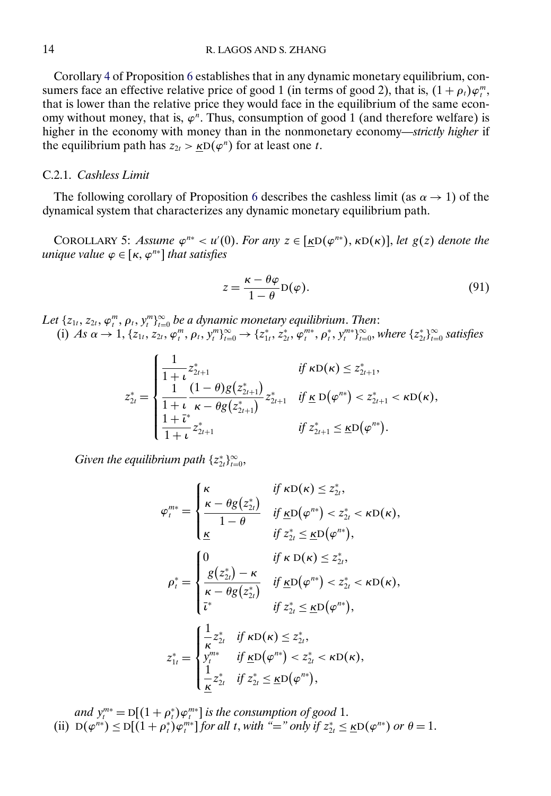<span id="page-13-0"></span>Corollary [4](#page-12-0) of Proposition [6](#page-12-0) establishes that in any dynamic monetary equilibrium, consumers face an effective relative price of good 1 (in terms of good 2), that is,  $(1 + \rho_t)\varphi_t^m$ , that is lower than the relative price they would face in the equilibrium of the same economy without money, that is,  $\varphi^n$ . Thus, consumption of good 1 (and therefore welfare) is higher in the economy with money than in the nonmonetary economy—*strictly higher* if the equilibrium path has  $z_{2t} > \kappa D(\varphi^n)$  for at least one t.

### C.2.1. *Cashless Limit*

The following corollary of Proposition [6](#page-12-0) describes the cashless limit (as  $\alpha \rightarrow 1$ ) of the dynamical system that characterizes any dynamic monetary equilibrium path.

COROLLARY 5: *Assume*  $\varphi^{n*} < u'(0)$ . *For any*  $z \in [\underline{\kappa}D(\varphi^{n*}), \kappa D(\kappa)]$ , *let*  $g(z)$  *denote the*  $unique$  *value*  $\varphi \in [\kappa, \varphi^{n*}]$  *that satisfies* 

$$
z = \frac{\kappa - \theta \varphi}{1 - \theta} D(\varphi).
$$
 (91)

Let  $\{z_{1t}, z_{2t}, \varphi_t^m, \rho_t, y_t^m\}_{t=0}^{\infty}$  be a dynamic monetary equilibrium. Then: (i) *As*  $\alpha \to 1$ ,  $\{z_{1t}, z_{2t}, \varphi_t^m, \rho_t, y_t^m\}_{t=0}^{\infty} \to \{z_{1t}^*, z_{2t}^*, \varphi_t^{m*}, \rho_t^*, y_t^{m*}\}_{t=0}^{\infty}$ , where  $\{z_{2t}^*\}_{t=0}^{\infty}$  satisfies

$$
z_{2t}^* = \begin{cases} \frac{1}{1+t} z_{2t+1}^* & \text{if } \kappa D(\kappa) \leq z_{2t+1}^*,\\ \frac{1}{1+t} \frac{(1-\theta)g(z_{2t+1}^*)}{\kappa - \theta g(z_{2t+1}^*)} z_{2t+1}^* & \text{if } \underline{\kappa} D(\varphi^{n*}) < z_{2t+1}^* < \kappa D(\kappa),\\ \frac{1+t^*}{1+t} z_{2t+1}^* & \text{if } z_{2t+1}^* \leq \underline{\kappa} D(\varphi^{n*}). \end{cases}
$$

 $G$ iven the equilibrium path  $\{z_{2t}^{*}\}_{t=0}^{\infty}$ ,

$$
\varphi_t^{m*} = \begin{cases}\n\kappa & \text{if } \kappa D(\kappa) \leq z_{2t}^*, \\
\frac{\kappa - \theta g(z_{2t}^*)}{1 - \theta} & \text{if } \underline{\kappa} D(\varphi^{n*}) < z_{2t}^* < \kappa D(\kappa), \\
\underline{\kappa} & \text{if } z_{2t}^* \leq \underline{\kappa} D(\varphi^{n*}), \\
\frac{\theta(z_{2t}^*) - \kappa}{\kappa - \theta g(z_{2t}^*)} & \text{if } \underline{\kappa} D(\varphi^{n*}) < z_{2t}^* < \kappa D(\kappa), \\
\frac{\kappa}{\kappa} & \text{if } z_{2t}^* \leq \underline{\kappa} D(\varphi^{n*}), \\
\frac{\kappa}{\kappa} & \text{if } z_{2t}^* \leq \underline{\kappa} D(\varphi^{n*}), \\
z_{1t}^* = \begin{cases}\n\frac{1}{\kappa} z_{2t}^* & \text{if } \kappa D(\kappa) \leq z_{2t}^*, \\
y_t^{m*} & \text{if } \underline{\kappa} D(\varphi^{n*}) < z_{2t}^* < \kappa D(\kappa), \\
\frac{1}{\kappa} z_{2t}^* & \text{if } z_{2t}^* \leq \underline{\kappa} D(\varphi^{n*}),\n\end{cases}\n\end{cases}
$$

*and*  $y_t^{m*} = D[(1 + \rho_t^*)\varphi_t^{m*}]$  *is the consumption of good* 1. (ii)  $D(\varphi^{n*}) \le D[(1+\rho_t^*)\varphi_t^{m*}]$  *for all t, with* "=" *only if*  $z_{2t}^* \le \underline{\kappa}D(\varphi^{n*})$  *or*  $\theta = 1$ *.*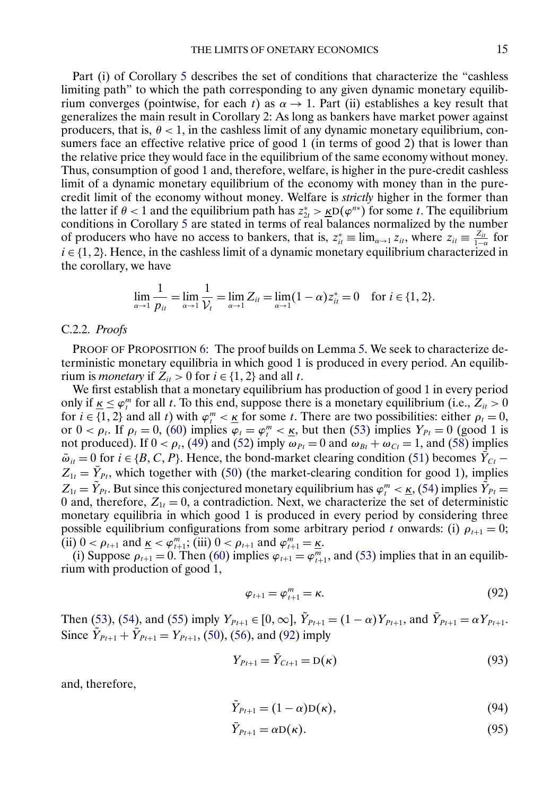<span id="page-14-0"></span>Part (i) of Corollary [5](#page-13-0) describes the set of conditions that characterize the "cashless limiting path" to which the path corresponding to any given dynamic monetary equilibrium converges (pointwise, for each t) as  $\alpha \rightarrow 1$ . Part (ii) establishes a key result that generalizes the main result in Corollary 2: As long as bankers have market power against producers, that is,  $\theta$  < 1, in the cashless limit of any dynamic monetary equilibrium, consumers face an effective relative price of good 1 (in terms of good 2) that is lower than the relative price they would face in the equilibrium of the same economy without money. Thus, consumption of good 1 and, therefore, welfare, is higher in the pure-credit cashless limit of a dynamic monetary equilibrium of the economy with money than in the purecredit limit of the economy without money. Welfare is *strictly* higher in the former than the latter if  $\theta$  < 1 and the equilibrium path has  $z_{2t}^* > \underline{k}D(\varphi^{n*})$  for some t. The equilibrium conditions in Corollary [5](#page-13-0) are stated in terms of real balances normalized by the number of producers who have no access to bankers, that is,  $z_{it}^* \equiv \lim_{\alpha \to 1} z_{it}$ , where  $z_{it} \equiv \frac{z_{it}}{1-\alpha}$  for  $i \in \{1, 2\}$ . Hence, in the cashless limit of a dynamic monetary equilibrium characterized in the corollary, we have

$$
\lim_{\alpha \to 1} \frac{1}{p_{it}} = \lim_{\alpha \to 1} \frac{1}{\mathcal{V}_t} = \lim_{\alpha \to 1} Z_{it} = \lim_{\alpha \to 1} (1 - \alpha) z_{it}^* = 0 \quad \text{for } i \in \{1, 2\}.
$$

#### C.2.2. *Proofs*

PROOF OF PROPOSITION [6:](#page-12-0) The proof builds on Lemma [5.](#page-6-0) We seek to characterize deterministic monetary equilibria in which good 1 is produced in every period. An equilibrium is *monetary* if  $Z_{it} > 0$  for  $i \in \{1, 2\}$  and all t.

We first establish that a monetary equilibrium has production of good 1 in every period only if  $\underline{\kappa} \leq \varphi_t^m$  for all t. To this end, suppose there is a monetary equilibrium (i.e.,  $Z_{it} > 0$ for  $i \in \{1, 2\}$  and all t) with  $\varphi_i^m \leq \underline{\kappa}$  for some t. There are two possibilities: either  $\rho_i = 0$ , or  $0 < \rho_t$ . If  $\rho_t = 0$ , [\(60\)](#page-7-0) implies  $\varphi_t = \varphi_t^m < \underline{\kappa}$ , but then [\(53\)](#page-7-0) implies  $Y_{Pt} = 0$  (good 1 is not produced). If  $0 < \rho_t$ , [\(49\)](#page-6-0) and [\(52\)](#page-7-0) imply  $\omega_{Pt} = 0$  and  $\omega_{Bt} + \omega_{Ct} = 1$ , and [\(58\)](#page-7-0) implies  $\bar{\omega}_{it} = 0$  for  $i \in \{B, C, P\}$ . Hence, the bond-market clearing condition [\(51\)](#page-6-0) becomes  $Y_{Ct}$  –  $Z_{1t} = \bar{Y}_{Pt}$ , which together with [\(50\)](#page-6-0) (the market-clearing condition for good 1), implies  $Z_{1t} = Y_{Pt}$ . But since this conjectured monetary equilibrium has  $\varphi_t^m < \underline{\kappa}$ , [\(54\)](#page-7-0) implies  $Y_{Pt} =$ 0 and, therefore,  $Z_{1t} = 0$ , a contradiction. Next, we characterize the set of deterministic monetary equilibria in which good 1 is produced in every period by considering three possible equilibrium configurations from some arbitrary period t onwards: (i)  $\rho_{t+1} = 0$ ; (ii)  $0 < \rho_{t+1}$  and  $\underline{\kappa} < \varphi_{t+1}^m$ ; (iii)  $0 < \rho_{t+1}$  and  $\varphi_{t+1}^m = \underline{\kappa}$ .

(i) Suppose  $\rho_{t+1} = 0$ . Then [\(60\)](#page-7-0) implies  $\varphi_{t+1} = \varphi_{t+1}^m$ , and [\(53\)](#page-7-0) implies that in an equilibrium with production of good 1,

$$
\varphi_{t+1} = \varphi_{t+1}^m = \kappa. \tag{92}
$$

Then [\(53\)](#page-7-0), [\(54\)](#page-7-0), and [\(55\)](#page-7-0) imply  $Y_{P_{t+1}} \in [0, \infty]$ ,  $Y_{P_{t+1}} = (1 - \alpha)Y_{P_{t+1}}$ , and  $Y_{P_{t+1}} = \alpha Y_{P_{t+1}}$ . Since  $\tilde{Y}_{Pt+1} + \tilde{Y}_{Pt+1} = Y_{Pt+1}$ , [\(50\)](#page-6-0), [\(56\)](#page-7-0), and (92) imply

$$
Y_{Pt+1} = Y_{Ct+1} = D(\kappa)
$$
\n(93)

and, therefore,

$$
\tilde{Y}_{Pt+1} = (1 - \alpha) \mathcal{D}(\kappa),\tag{94}
$$

$$
Y_{Pt+1} = \alpha \mathcal{D}(\kappa). \tag{95}
$$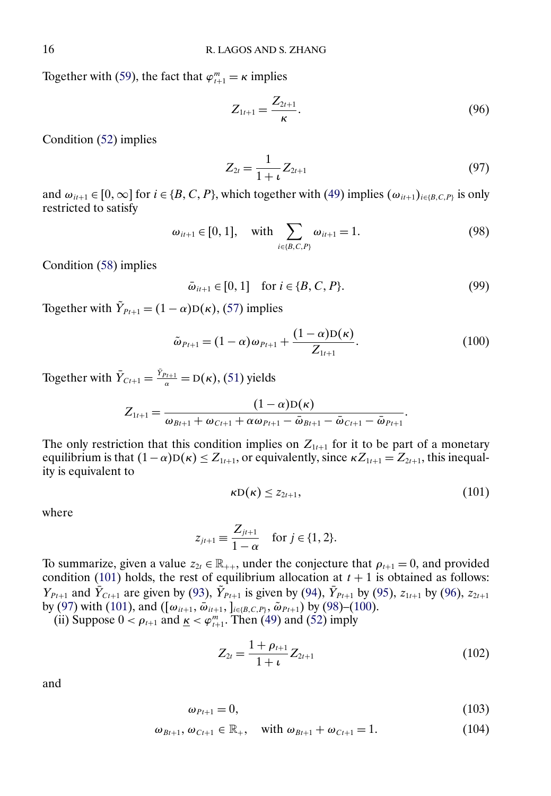<span id="page-15-0"></span>Together with [\(59\)](#page-7-0), the fact that  $\varphi_{t+1}^m = \kappa$  implies

$$
Z_{1t+1} = \frac{Z_{2t+1}}{\kappa}.
$$
\n(96)

Condition [\(52\)](#page-7-0) implies

$$
Z_{2t} = \frac{1}{1+t} Z_{2t+1}
$$
\n(97)

and  $\omega_{i,i+1} \in [0,\infty]$  for  $i \in \{B,C,P\}$ , which together with [\(49\)](#page-6-0) implies  $(\omega_{i,i+1})_{i \in \{B,C,P\}}$  is only restricted to satisfy

$$
\omega_{it+1} \in [0, 1], \quad \text{with} \sum_{i \in \{B, C, P\}} \omega_{it+1} = 1.
$$
\n(98)

Condition [\(58\)](#page-7-0) implies

$$
\bar{\omega}_{it+1} \in [0, 1] \quad \text{for } i \in \{B, C, P\}. \tag{99}
$$

Together with  $\tilde{Y}_{P_{t+1}} = (1 - \alpha) D(\kappa)$ , [\(57\)](#page-7-0) implies

$$
\tilde{\omega}_{P_{t+1}} = (1 - \alpha) \omega_{P_{t+1}} + \frac{(1 - \alpha)D(\kappa)}{Z_{1t+1}}.
$$
\n(100)

Together with  $\bar{Y}_{Ct+1} = \frac{Y_{Pt+1}}{\alpha} = D(\kappa)$ , [\(51\)](#page-6-0) yields

$$
Z_{1t+1} = \frac{(1-\alpha)D(\kappa)}{\omega_{Bt+1} + \omega_{Ct+1} + \alpha \omega_{Pt+1} - \bar{\omega}_{Bt+1} - \bar{\omega}_{Ct+1} - \bar{\omega}_{Pt+1}}.
$$

The only restriction that this condition implies on  $Z_{1t+1}$  for it to be part of a monetary equilibrium is that  $(1-\alpha)D(\kappa) \leq Z_{1t+1}$ , or equivalently, since  $\kappa Z_{1t+1} = Z_{2t+1}$ , this inequality is equivalent to

$$
\kappa \mathcal{D}(\kappa) \le z_{2t+1},\tag{101}
$$

where

$$
z_{j t+1} \equiv \frac{Z_{j t+1}}{1-\alpha} \quad \text{for } j \in \{1, 2\}.
$$

To summarize, given a value  $z_{2t} \in \mathbb{R}_{++}$ , under the conjecture that  $\rho_{t+1} = 0$ , and provided condition (101) holds, the rest of equilibrium allocation at  $t + 1$  is obtained as follows:  $Y_{P_{t+1}}$  and  $\bar{Y}_{C_{t+1}}$  are given by [\(93\)](#page-14-0),  $\tilde{Y}_{P_{t+1}}$  is given by [\(94\)](#page-14-0),  $\bar{Y}_{P_{t+1}}$  by [\(95\)](#page-14-0),  $z_{1t+1}$  by (96),  $z_{2t+1}$ by (97) with (101), and ( $[\omega_{it+1}, \bar{\omega}_{it+1},]_{i \in \{B,C,P\}}, \tilde{\omega}_{Pt+1}$ ) by (98)–(100).

(ii) Suppose  $0 < \rho_{t+1}$  and  $\underline{\kappa} < \varphi_{t+1}^m$ . Then [\(49\)](#page-6-0) and [\(52\)](#page-7-0) imply

$$
Z_{2t} = \frac{1 + \rho_{t+1}}{1 + \iota} Z_{2t+1}
$$
 (102)

and

$$
\omega_{Pt+1} = 0,\tag{103}
$$

$$
\omega_{Bt+1}, \omega_{Ct+1} \in \mathbb{R}_+, \text{ with } \omega_{Bt+1} + \omega_{Ct+1} = 1.
$$
 (104)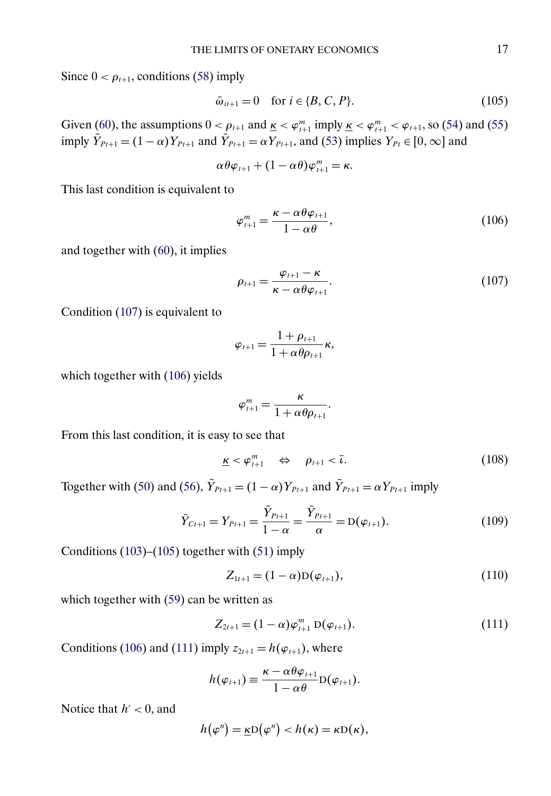<span id="page-16-0"></span>Since  $0 < \rho_{t+1}$ , conditions [\(58\)](#page-7-0) imply

$$
\bar{\omega}_{it+1} = 0 \quad \text{for } i \in \{B, C, P\}. \tag{105}
$$

Given [\(60\)](#page-7-0), the assumptions  $0 < \rho_{t+1}$  and  $\underline{\kappa} < \varphi_{t+1}^m$  imply  $\underline{\kappa} < \varphi_{t+1}^m < \varphi_{t+1}$ , so [\(54\)](#page-7-0) and [\(55\)](#page-7-0) imply  $Y_{Pt+1} = (1 - \alpha) Y_{Pt+1}$  and  $Y_{Pt+1} = \alpha Y_{Pt+1}$ , and [\(53\)](#page-7-0) implies  $Y_{Pt} \in [0, \infty]$  and

$$
\alpha\theta\varphi_{t+1}+(1-\alpha\theta)\varphi_{t+1}^m=\kappa.
$$

This last condition is equivalent to

$$
\varphi_{t+1}^m = \frac{\kappa - \alpha \theta \varphi_{t+1}}{1 - \alpha \theta},\tag{106}
$$

and together with [\(60\)](#page-7-0), it implies

$$
\rho_{t+1} = \frac{\varphi_{t+1} - \kappa}{\kappa - \alpha \theta \varphi_{t+1}}.\tag{107}
$$

Condition (107) is equivalent to

$$
\varphi_{t+1} = \frac{1 + \rho_{t+1}}{1 + \alpha \theta \rho_{t+1}} \kappa,
$$

which together with (106) yields

$$
\varphi_{t+1}^m = \frac{\kappa}{1 + \alpha \theta \rho_{t+1}}.
$$

From this last condition, it is easy to see that

$$
\underline{\kappa} < \varphi_{t+1}^m \quad \Leftrightarrow \quad \rho_{t+1} < \overline{\iota}. \tag{108}
$$

Together with [\(50\)](#page-6-0) and [\(56\)](#page-7-0),  $\tilde{Y}_{Pt+1} = (1 - \alpha)Y_{Pt+1}$  and  $\bar{Y}_{Pt+1} = \alpha Y_{Pt+1}$  imply

$$
\bar{Y}_{Ct+1} = Y_{Pt+1} = \frac{\tilde{Y}_{Pt+1}}{1 - \alpha} = \frac{\bar{Y}_{Pt+1}}{\alpha} = D(\varphi_{t+1}).
$$
\n(109)

Conditions [\(103\)](#page-15-0)–(105) together with [\(51\)](#page-6-0) imply

$$
Z_{1t+1} = (1 - \alpha)D(\varphi_{t+1}), \qquad (110)
$$

which together with [\(59\)](#page-7-0) can be written as

$$
Z_{2t+1} = (1 - \alpha)\varphi_{t+1}^m D(\varphi_{t+1}).
$$
\n(111)

Conditions (106) and (111) imply  $z_{2t+1} = h(\varphi_{t+1})$ , where

$$
h(\varphi_{t+1}) \equiv \frac{\kappa - \alpha \theta \varphi_{t+1}}{1 - \alpha \theta} \mathcal{D}(\varphi_{t+1}).
$$

Notice that  $h' < 0$ , and

$$
h(\varphi^n) = \underline{\kappa} \mathrm{D}(\varphi^n) < h(\kappa) = \kappa \mathrm{D}(\kappa),
$$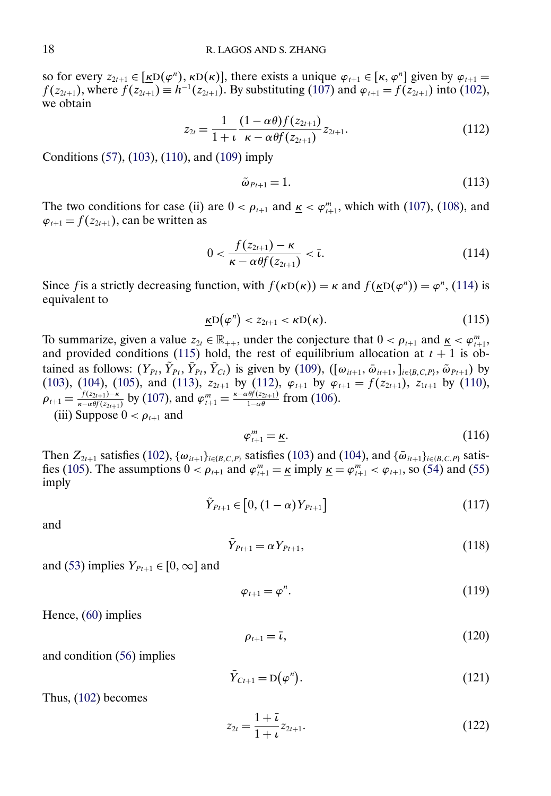<span id="page-17-0"></span>so for every  $z_{2t+1} \in [\underline{k}D(\varphi^n), \kappa D(\kappa)]$ , there exists a unique  $\varphi_{t+1} \in [\kappa, \varphi^n]$  given by  $\varphi_{t+1} =$  $f(z_{2t+1})$ , where  $f(z_{2t+1}) \equiv h^{-1}(z_{2t+1})$ . By substituting [\(107\)](#page-16-0) and  $\varphi_{t+1} = f(z_{2t+1})$  into [\(102\)](#page-15-0), we obtain

$$
z_{2t} = \frac{1}{1+t} \frac{(1-\alpha\theta)f(z_{2t+1})}{\kappa - \alpha\theta f(z_{2t+1})} z_{2t+1}.
$$
 (112)

Conditions [\(57\)](#page-7-0), [\(103\)](#page-15-0), [\(110\)](#page-16-0), and [\(109\)](#page-16-0) imply

$$
\tilde{\omega}_{Pt+1} = 1. \tag{113}
$$

The two conditions for case (ii) are  $0 < \rho_{t+1}$  and  $\underline{\kappa} < \varphi_{t+1}^m$ , which with [\(107\)](#page-16-0), [\(108\)](#page-16-0), and  $\varphi_{t+1} = f(z_{2t+1})$ , can be written as

$$
0 < \frac{f(z_{2t+1}) - \kappa}{\kappa - \alpha \theta f(z_{2t+1})} < \bar{\iota}.\tag{114}
$$

Since f is a strictly decreasing function, with  $f(\kappa D(\kappa)) = \kappa$  and  $f(\kappa D(\varphi^n)) = \varphi^n$ , (114) is equivalent to

$$
\underline{\kappa}D(\varphi^n)
$$

To summarize, given a value  $z_{2t} \in \mathbb{R}_{++}$ , under the conjecture that  $0 < \rho_{t+1}$  and  $\underline{\kappa} < \varphi_{t+1}^m$ , and provided conditions (115) hold, the rest of equilibrium allocation at  $t + 1$  is obtained as follows:  $(Y_{Pt}, Y_{Pt}, Y_{Pt}, Y_{Ct})$  is given by [\(109\)](#page-16-0),  $([\omega_{it+1}, \overline{\omega}_{it+1},]_{i\in\{B,C,P\}}, \overline{\omega}_{Pt+1})$  by [\(103\)](#page-15-0), [\(104\)](#page-15-0), [\(105\)](#page-16-0), and (113),  $z_{2t+1}$  by (112),  $\varphi_{t+1}$  by  $\varphi_{t+1} = f(z_{2t+1})$ ,  $z_{1t+1}$  by [\(110\)](#page-16-0),  $\rho_{t+1} = \frac{f(z_{2t+1}) - \kappa}{\kappa - \alpha \theta f(z_{2t+1})}$  by [\(107\)](#page-16-0), and  $\varphi_{t+1}^m = \frac{\kappa - \alpha \theta f(z_{2t+1})}{1 - \alpha \theta}$  from [\(106\)](#page-16-0). (iii) Suppose  $0 < \rho_{t+1}$  and

$$
\varphi_{t+1}^m = \underline{\kappa}.\tag{116}
$$

Then  $Z_{2t+1}$  satisfies [\(102\)](#page-15-0),  $\{\omega_{it+1}\}_{i \in \{B,C,P\}}$  satisfies [\(103\)](#page-15-0) and [\(104\)](#page-15-0), and  $\{\bar{\omega}_{it+1}\}_{i \in \{B,C,P\}}$  satisfies fies [\(105\)](#page-16-0). The assumptions  $0 < \rho_{t+1}$  and  $\varphi_{t+1}^m = \underline{\kappa}$  imply  $\underline{\kappa} = \varphi_{t+1}^m < \varphi_{t+1}$ , so [\(54\)](#page-7-0) and [\(55\)](#page-7-0) imply

$$
\tilde{Y}_{Pt+1} \in [0, (1-\alpha)Y_{Pt+1}] \tag{117}
$$

and

$$
\bar{Y}_{Pt+1} = \alpha Y_{Pt+1},\tag{118}
$$

and [\(53\)](#page-7-0) implies  $Y_{Pt+1} \in [0, \infty]$  and

$$
\varphi_{t+1} = \varphi^n. \tag{119}
$$

Hence, [\(60\)](#page-7-0) implies

$$
\rho_{t+1} = \bar{\iota},\tag{120}
$$

and condition [\(56\)](#page-7-0) implies

$$
\bar{Y}_{Ct+1} = D(\varphi^n). \tag{121}
$$

Thus, [\(102\)](#page-15-0) becomes

$$
z_{2t} = \frac{1+\bar{\iota}}{1+\iota} z_{2t+1}.
$$
\n(122)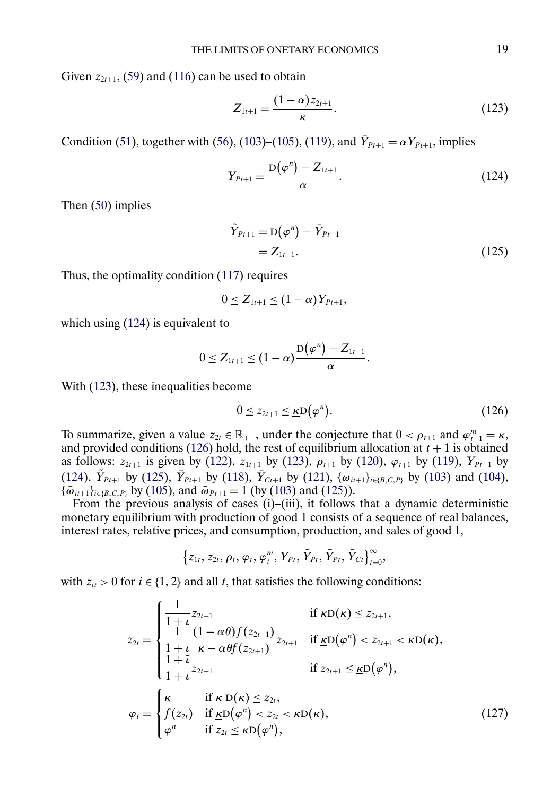<span id="page-18-0"></span>Given  $z_{2t+1}$ , [\(59\)](#page-7-0) and [\(116\)](#page-17-0) can be used to obtain

$$
Z_{1t+1} = \frac{(1-\alpha)z_{2t+1}}{K}.
$$
\n(123)

Condition [\(51\)](#page-6-0), together with [\(56\)](#page-7-0), [\(103\)](#page-15-0)–[\(105\)](#page-16-0), [\(119\)](#page-17-0), and  $\bar{Y}_{Pt+1} = \alpha Y_{Pt+1}$ , implies

$$
Y_{Pt+1} = \frac{D(\varphi^n) - Z_{1t+1}}{\alpha}.
$$
\n(124)

Then [\(50\)](#page-6-0) implies

$$
\tilde{Y}_{Pt+1} = D(\varphi^n) - \bar{Y}_{Pt+1} \n= Z_{1t+1}.
$$
\n(125)

Thus, the optimality condition [\(117\)](#page-17-0) requires

$$
0 \leq Z_{1t+1} \leq (1-\alpha)Y_{Pt+1},
$$

which using (124) is equivalent to

$$
0 \leq Z_{1t+1} \leq (1-\alpha) \frac{D(\varphi^n) - Z_{1t+1}}{\alpha}.
$$

With (123), these inequalities become

$$
0 \le z_{2t+1} \le \underline{\kappa} \mathcal{D}\big(\varphi^n\big). \tag{126}
$$

-

To summarize, given a value  $z_{2t} \in \mathbb{R}_{++}$ , under the conjecture that  $0 < \rho_{t+1}$  and  $\varphi_{t+1}^m = \underline{\kappa}$ , and provided conditions (126) hold, the rest of equilibrium allocation at  $t + 1$  is obtained as follows:  $z_{2t+1}$  is given by [\(122\)](#page-17-0),  $z_{1t+1}$  by (123),  $\rho_{t+1}$  by [\(120\)](#page-17-0),  $\varphi_{t+1}$  by [\(119\)](#page-17-0),  $Y_{Pt+1}$  by (124),  $Y_{Pt+1}$  by (125),  $Y_{Pt+1}$  by [\(118\)](#page-17-0),  $Y_{Ct+1}$  by [\(121\)](#page-17-0),  $\{\omega_{it+1}\}_{i\in\{B,C,P\}}$  by [\(103\)](#page-15-0) and [\(104\)](#page-15-0),  $\{\bar{\omega}_{i\bar{t}+1}\}_{i\in\{B,C,P\}}$  by [\(105\)](#page-16-0), and  $\tilde{\omega}_{Pt+1} = 1$  (by [\(103\)](#page-15-0) and (125)).

From the previous analysis of cases (i)–(iii), it follows that a dynamic deterministic monetary equilibrium with production of good 1 consists of a sequence of real balances, interest rates, relative prices, and consumption, production, and sales of good 1,

$$
\left\{z_{1t}, z_{2t}, \rho_t, \varphi_t, \varphi_t^m, Y_{Pt}, \tilde{Y}_{Pt}, \tilde{Y}_{Pt}, \tilde{Y}_{Ct}\right\}_{t=0}^{\infty}
$$

with  $z_{it} > 0$  for  $i \in \{1, 2\}$  and all t, that satisfies the following conditions:

$$
z_{2t} = \begin{cases} \frac{1}{1+t} z_{2t+1} & \text{if } \kappa \mathbf{D}(\kappa) \leq z_{2t+1}, \\ \frac{1}{1+t} \frac{(1-\alpha\theta)f(z_{2t+1})}{\kappa - \alpha\theta f(z_{2t+1})} z_{2t+1} & \text{if } \underline{\kappa} \mathbf{D}(\varphi^n) < z_{2t+1} < \kappa \mathbf{D}(\kappa), \\ \frac{1+t}{1+t} z_{2t+1} & \text{if } z_{2t+1} \leq \underline{\kappa} \mathbf{D}(\varphi^n), \\ \mathbf{F}(\kappa) & \text{if } \underline{\kappa} \mathbf{D}(\varphi^n) < z_{2t} < \kappa \mathbf{D}(\kappa), \\ \varphi^n & \text{if } z_{2t} \leq \underline{\kappa} \mathbf{D}(\varphi^n), \end{cases} \tag{127}
$$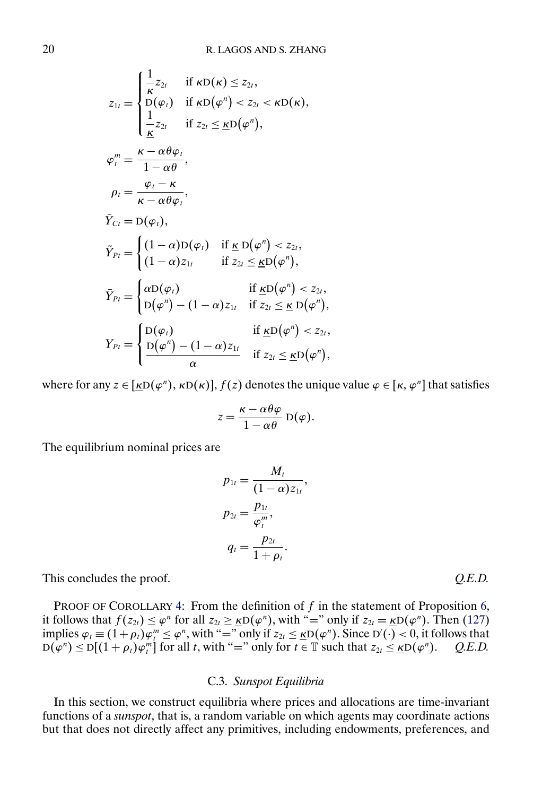$$
z_{1t} = \begin{cases} \frac{1}{\kappa} z_{2t} & \text{if } \kappa D(\kappa) \leq z_{2t}, \\ D(\varphi_t) & \text{if } \underline{\kappa} D(\varphi'') < z_{2t} < \kappa D(\kappa), \\ \frac{1}{\underline{\kappa}} z_{2t} & \text{if } z_{2t} \leq \underline{\kappa} D(\varphi''), \end{cases}
$$
\n
$$
\varphi_t^m = \frac{\kappa - \alpha \theta \varphi_t}{1 - \alpha \theta},
$$
\n
$$
\rho_t = \frac{\varphi_t - \kappa}{\kappa - \alpha \theta \varphi_t},
$$
\n
$$
\bar{Y}_{Ct} = D(\varphi_t),
$$
\n
$$
\tilde{Y}_{Pt} = \begin{cases} (1 - \alpha) D(\varphi_t) & \text{if } \underline{\kappa} D(\varphi'') < z_{2t}, \\ (1 - \alpha) z_{1t} & \text{if } z_{2t} \leq \underline{\kappa} D(\varphi''), \\ D(\varphi'') - (1 - \alpha) z_{1t} & \text{if } z_{2t} \leq \underline{\kappa} D(\varphi''), \\ D(\varphi'') - (1 - \alpha) z_{1t} & \text{if } z_{2t} \leq \underline{\kappa} D(\varphi''), \\ \frac{D(\varphi_t)}{\alpha} & \text{if } \underline{\kappa} D(\varphi'') < z_{2t}, \end{cases}
$$

where for any  $z \in [\underline{k}D(\varphi^n), \kappa D(\kappa)], f(z)$  denotes the unique value  $\varphi \in [\kappa, \varphi^n]$  that satisfies

$$
z = \frac{\kappa - \alpha \theta \varphi}{1 - \alpha \theta} \mathrm{D}(\varphi).
$$

The equilibrium nominal prices are

1

$$
p_{1t} = \frac{M_t}{(1-\alpha)z_{1t}},
$$
  
\n
$$
p_{2t} = \frac{p_{1t}}{\varphi_t^m},
$$
  
\n
$$
q_t = \frac{p_{2t}}{1+\rho_t}.
$$

This concludes the proof.  $Q.E.D$ 

PROOF OF COROLLARY [4:](#page-12-0) From the definition of  $f$  in the statement of Proposition [6,](#page-12-0) it follows that  $f(z_{2t}) \leq \varphi^n$  for all  $z_{2t} \geq \underline{k}D(\varphi^n)$ , with "=" only if  $z_{2t} = \underline{k}D(\varphi^n)$ . Then [\(127\)](#page-18-0) implies  $\varphi_t \equiv (1 + \rho_t)\varphi_t^m \leq \varphi^n$ , with "=" only if  $z_{2t} \leq \underline{k}D(\varphi^n)$ . Since  $D'(\cdot) < 0$ , it follows that  $D(\varphi^n) \le D[(1+\rho_t)\varphi_t^m]$  for all t, with "=" only for  $t \in \mathbb{T}$  such that  $z_{2t} \le \underline{\kappa}D(\varphi^n)$ . *Q.E.D.* 

## C.3. *Sunspot Equilibria*

In this section, we construct equilibria where prices and allocations are time-invariant functions of a *sunspot*, that is, a random variable on which agents may coordinate actions but that does not directly affect any primitives, including endowments, preferences, and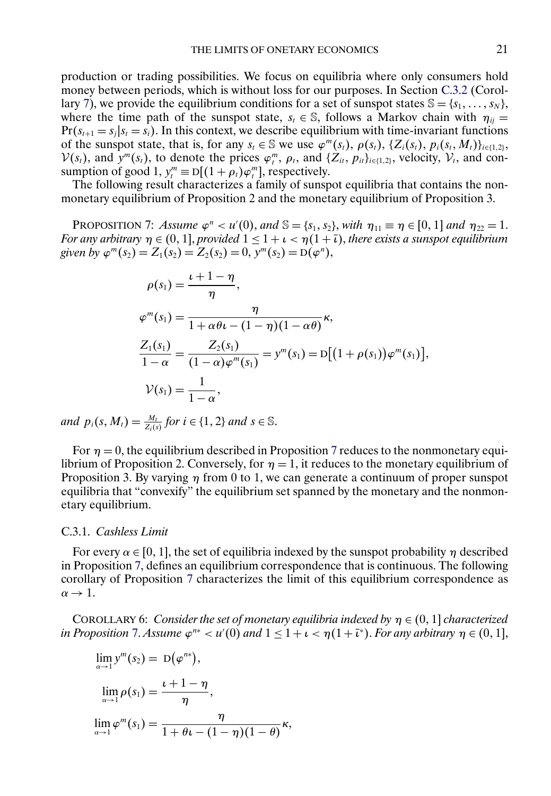<span id="page-20-0"></span>production or trading possibilities. We focus on equilibria where only consumers hold money between periods, which is without loss for our purposes. In Section [C.3.2](#page-21-0) (Corol-lary [7\)](#page-21-0), we provide the equilibrium conditions for a set of sunspot states  $\mathbb{S} = \{s_1, \ldots, s_N\}$ , where the time path of the sunspot state,  $s_t \in \mathbb{S}$ , follows a Markov chain with  $\eta_{ii} =$  $Pr(s_{t+1} = s_i | s_t = s_i)$ . In this context, we describe equilibrium with time-invariant functions of the sunspot state, that is, for any  $s_t \in \mathbb{S}$  we use  $\varphi^m(s_t)$ ,  $\rho(s_t)$ ,  $\{Z_i(s_t), p_i(s_t, M_t)\}_{i \in \{1,2\}}$ ,  $V(s_t)$ , and  $y^m(s_t)$ , to denote the prices  $\varphi_t^m$ ,  $\rho_t$ , and  $\{Z_{it}, p_{it}\}_{i\in\{1,2\}}$ , velocity,  $V_t$ , and consumption of good 1,  $y_t^m \equiv D[(1 + \rho_t)\varphi_t^m]$ , respectively.

The following result characterizes a family of sunspot equilibria that contains the nonmonetary equilibrium of Proposition 2 and the monetary equilibrium of Proposition 3.

**PROPOSITION** 7: *Assume*  $\varphi^n < u'(0)$ , and  $\mathbb{S} = \{s_1, s_2\}$ , with  $\eta_{11} \equiv \eta \in [0, 1]$  and  $\eta_{22} = 1$ . *For any arbitrary*  $\eta \in (0,1]$ , *provided*  $1 \leq 1 + \iota < \eta(1 + \overline{\iota})$ , *there exists a sunspot equilibrium given by*  $\varphi^{m}(s_2) = Z_1(s_2) = Z_2(s_2) = 0$ ,  $y^{m}(s_2) = D(\varphi^{n})$ ,

$$
\rho(s_1) = \frac{\iota + 1 - \eta}{\eta},
$$
  
\n
$$
\varphi^{m}(s_1) = \frac{\eta}{1 + \alpha \theta \iota - (1 - \eta)(1 - \alpha \theta)},
$$
  
\n
$$
\frac{Z_1(s_1)}{1 - \alpha} = \frac{Z_2(s_1)}{(1 - \alpha)\varphi^{m}(s_1)} = y^{m}(s_1) = D[(1 + \rho(s_1))\varphi^{m}(s_1)],
$$
  
\n
$$
\mathcal{V}(s_1) = \frac{1}{1 - \alpha},
$$

*and*  $p_i(s, M_i) = \frac{M_t}{Z_i(s)}$  for  $i \in \{1, 2\}$  *and*  $s \in \mathbb{S}$ .

For  $\eta = 0$ , the equilibrium described in Proposition 7 reduces to the nonmonetary equilibrium of Proposition 2. Conversely, for  $\eta = 1$ , it reduces to the monetary equilibrium of Proposition 3. By varying  $\eta$  from 0 to 1, we can generate a continuum of proper sunspot equilibria that "convexify" the equilibrium set spanned by the monetary and the nonmonetary equilibrium.

## C.3.1. *Cashless Limit*

For every  $\alpha \in [0, 1]$ , the set of equilibria indexed by the sunspot probability  $\eta$  described in Proposition 7, defines an equilibrium correspondence that is continuous. The following corollary of Proposition 7 characterizes the limit of this equilibrium correspondence as  $\alpha \rightarrow 1$ .

COROLLARY 6: *Consider the set of monetary equilibria indexed by*  $\eta \in (0, 1]$  *characterized in Proposition* 7. Assume  $\varphi^{n*} < u'(0)$  and  $1 \leq 1 + \iota < \eta(1 + \overline{\iota}^*)$ . *For any arbitrary*  $\eta \in (0, 1]$ ,

$$
\lim_{\alpha \to 1} y^m(s_2) = D(\varphi^{n*}),
$$
  
\n
$$
\lim_{\alpha \to 1} \rho(s_1) = \frac{\iota + 1 - \eta}{\eta},
$$
  
\n
$$
\lim_{\alpha \to 1} \varphi^m(s_1) = \frac{\eta}{1 + \theta \iota - (1 - \eta)(1 - \theta)},
$$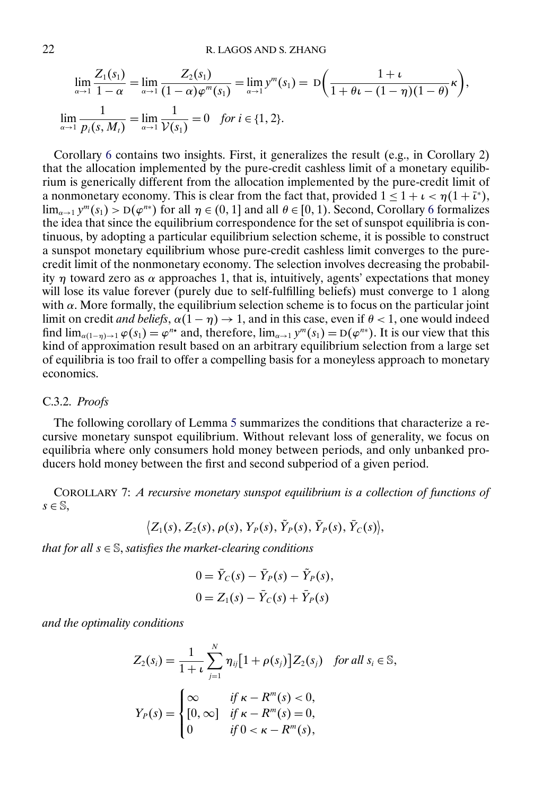<span id="page-21-0"></span>
$$
\lim_{\alpha \to 1} \frac{Z_1(s_1)}{1 - \alpha} = \lim_{\alpha \to 1} \frac{Z_2(s_1)}{(1 - \alpha)\varphi^m(s_1)} = \lim_{\alpha \to 1} y^m(s_1) = D\left(\frac{1 + \iota}{1 + \theta\iota - (1 - \eta)(1 - \theta)}\kappa\right),
$$
  

$$
\lim_{\alpha \to 1} \frac{1}{p_i(s, M_i)} = \lim_{\alpha \to 1} \frac{1}{\mathcal{V}(s_1)} = 0 \quad \text{for } i \in \{1, 2\}.
$$

Corollary [6](#page-20-0) contains two insights. First, it generalizes the result (e.g., in Corollary 2) that the allocation implemented by the pure-credit cashless limit of a monetary equilibrium is generically different from the allocation implemented by the pure-credit limit of a nonmonetary economy. This is clear from the fact that, provided  $1 \leq 1 + \iota < \eta(1 + \overline{\iota}^*)$ ,  $\lim_{\alpha\to 1} y^m(s_1) > D(\varphi^{n*})$  for all  $\eta \in (0, 1]$  and all  $\theta \in [0, 1)$ . Second, Corollary [6](#page-20-0) formalizes the idea that since the equilibrium correspondence for the set of sunspot equilibria is continuous, by adopting a particular equilibrium selection scheme, it is possible to construct a sunspot monetary equilibrium whose pure-credit cashless limit converges to the purecredit limit of the nonmonetary economy. The selection involves decreasing the probability  $\eta$  toward zero as  $\alpha$  approaches 1, that is, intuitively, agents' expectations that money will lose its value forever (purely due to self-fulfilling beliefs) must converge to 1 along with  $\alpha$ . More formally, the equilibrium selection scheme is to focus on the particular joint limit on credit *and beliefs*,  $\alpha(1 - \eta) \rightarrow 1$ , and in this case, even if  $\theta < 1$ , one would indeed find  $\lim_{\alpha(1-n)\to 1} \varphi(s_1) = \varphi^{n*}$  and, therefore,  $\lim_{\alpha\to 1} y^m(s_1) = D(\varphi^{n*})$ . It is our view that this kind of approximation result based on an arbitrary equilibrium selection from a large set of equilibria is too frail to offer a compelling basis for a moneyless approach to monetary economics.

#### C.3.2. *Proofs*

The following corollary of Lemma [5](#page-6-0) summarizes the conditions that characterize a recursive monetary sunspot equilibrium. Without relevant loss of generality, we focus on equilibria where only consumers hold money between periods, and only unbanked producers hold money between the first and second subperiod of a given period.

COROLLARY 7: *A recursive monetary sunspot equilibrium is a collection of functions of*  $s \in \mathbb{S}$ ,

$$
\big\langle Z_1(s),\,Z_2(s),\,\rho(s),\,Y_P(s),\,\tilde Y_P(s),\,\bar Y_P(s),\,\bar Y_C(s)\big\rangle,
$$

*that for all* <sup>s</sup> <sup>∈</sup> <sup>S</sup>, *satisfies the market-clearing conditions*

$$
0 = \bar{Y}_C(s) - \bar{Y}_P(s) - \tilde{Y}_P(s),
$$
  

$$
0 = Z_1(s) - \bar{Y}_C(s) + \bar{Y}_P(s)
$$

*and the optimality conditions*

$$
Z_2(s_i) = \frac{1}{1+t} \sum_{j=1}^{N} \eta_{ij} [1 + \rho(s_j)] Z_2(s_j) \text{ for all } s_i \in \mathbb{S},
$$
  

$$
Y_P(s) = \begin{cases} \infty & \text{if } \kappa - R^m(s) < 0, \\ [0, \infty] & \text{if } \kappa - R^m(s) = 0, \\ 0 & \text{if } 0 < \kappa - R^m(s), \end{cases}
$$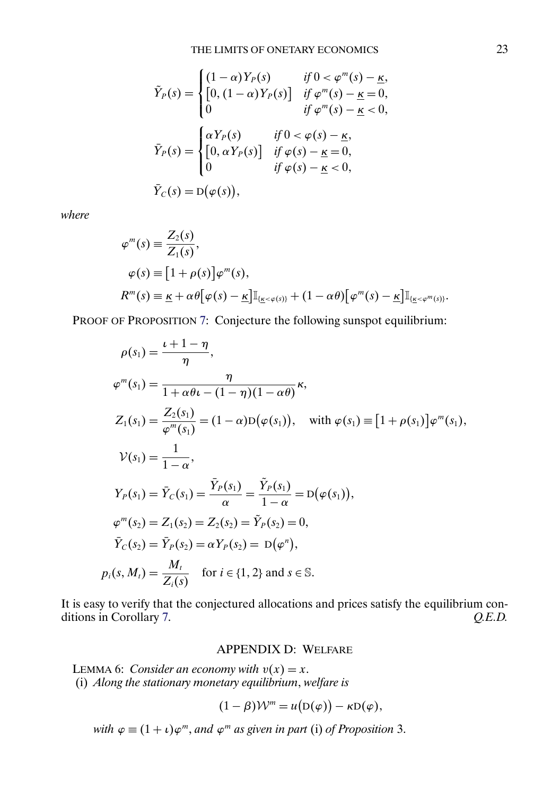<span id="page-22-0"></span>
$$
\tilde{Y}_P(s) = \begin{cases}\n(1-\alpha)Y_P(s) & \text{if } 0 < \varphi^m(s) - \underline{\kappa}, \\
[0, (1-\alpha)Y_P(s)] & \text{if } \varphi^m(s) - \underline{\kappa} = 0, \\
0 & \text{if } \varphi^m(s) - \underline{\kappa} < 0,\n\end{cases}
$$
\n
$$
\bar{Y}_P(s) = \begin{cases}\n\alpha Y_P(s) & \text{if } 0 < \varphi(s) - \underline{\kappa}, \\
[0, \alpha Y_P(s)] & \text{if } \varphi(s) - \underline{\kappa} = 0, \\
0 & \text{if } \varphi(s) - \underline{\kappa} < 0,\n\end{cases}
$$
\n
$$
\bar{Y}_C(s) = D(\varphi(s)),
$$

*where*

$$
\varphi^{m}(s) \equiv \frac{Z_{2}(s)}{Z_{1}(s)},
$$
  
\n
$$
\varphi(s) \equiv [1 + \rho(s)]\varphi^{m}(s),
$$
  
\n
$$
R^{m}(s) \equiv \underline{\kappa} + \alpha \theta[\varphi(s) - \underline{\kappa}] \mathbb{I}_{\{\underline{\kappa} < \varphi(s)\}} + (1 - \alpha \theta)[\varphi^{m}(s) - \underline{\kappa}] \mathbb{I}_{\{\underline{\kappa} < \varphi^{m}(s)\}}.
$$

PROOF OF PROPOSITION [7:](#page-20-0) Conjecture the following sunspot equilibrium:

$$
\rho(s_1) = \frac{\iota + 1 - \eta}{\eta},
$$
  
\n
$$
\varphi^m(s_1) = \frac{\eta}{1 + \alpha \theta \iota - (1 - \eta)(1 - \alpha \theta)} \kappa,
$$
  
\n
$$
Z_1(s_1) = \frac{Z_2(s_1)}{\varphi^m(s_1)} = (1 - \alpha)D(\varphi(s_1)), \text{ with } \varphi(s_1) \equiv [1 + \rho(s_1)]\varphi^m(s_1),
$$
  
\n
$$
\mathcal{V}(s_1) = \frac{1}{1 - \alpha},
$$
  
\n
$$
Y_P(s_1) = \bar{Y}_C(s_1) = \frac{\bar{Y}_P(s_1)}{\alpha} = \frac{\tilde{Y}_P(s_1)}{1 - \alpha} = D(\varphi(s_1)),
$$
  
\n
$$
\varphi^m(s_2) = Z_1(s_2) = Z_2(s_2) = \tilde{Y}_P(s_2) = 0,
$$
  
\n
$$
\bar{Y}_C(s_2) = \bar{Y}_P(s_2) = \alpha Y_P(s_2) = D(\varphi^n),
$$
  
\n
$$
p_i(s, M_i) = \frac{M_i}{Z_i(s)} \text{ for } i \in \{1, 2\} \text{ and } s \in \mathbb{S}.
$$

It is easy to verify that the conjectured allocations and prices satisfy the equilibrium con-<br>ditions in Corollary 7.  $Q.E.D.$ ditions in Corollary [7.](#page-21-0)

## APPENDIX D: WELFARE

LEMMA 6: *Consider an economy with*  $v(x) = x$ . (i) *Along the stationary monetary equilibrium*, *welfare is*

$$
(1 - \beta) \mathcal{W}^m = u(D(\varphi)) - \kappa D(\varphi),
$$

 $\sim$ 

*with*  $\varphi \equiv (1 + \iota)\varphi^{m}$ , *and*  $\varphi^{m}$  *as given in part* (i) *of Proposition* 3.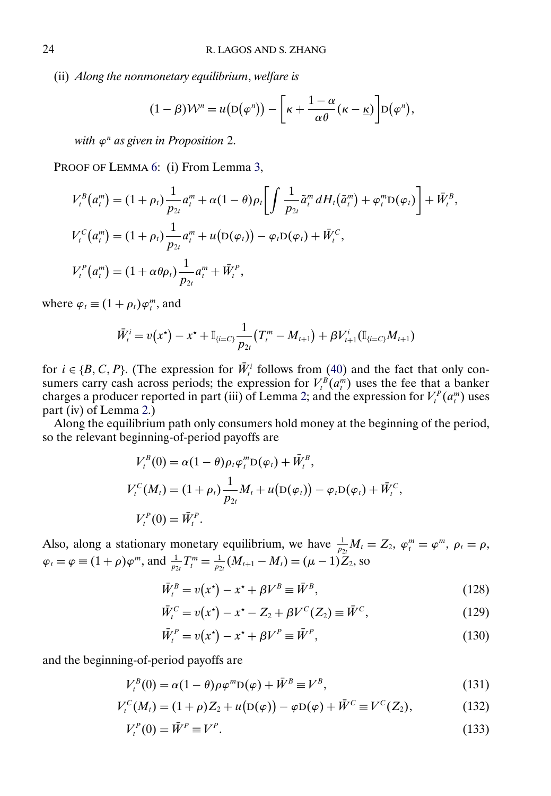<span id="page-23-0"></span>(ii) *Along the nonmonetary equilibrium*, *welfare is*

$$
(1 - \beta)\mathcal{W}^{n} = u(D(\varphi^{n})) - \left[\kappa + \frac{1 - \alpha}{\alpha \theta}(\kappa - \underline{\kappa})\right]D(\varphi^{n}),
$$

*with*  $\varphi^n$  *as given in Proposition* 2.

PROOF OF LEMMA [6:](#page-22-0) (i) From Lemma [3,](#page-5-0)

$$
V_t^B(a_t^m) = (1 + \rho_t) \frac{1}{p_{2t}} a_t^m + \alpha (1 - \theta) \rho_t \left[ \int \frac{1}{p_{2t}} \tilde{a}_t^m dH_t(\tilde{a}_t^m) + \varphi_t^m D(\varphi_t) \right] + \bar{W}_t^B,
$$
  
\n
$$
V_t^C(a_t^m) = (1 + \rho_t) \frac{1}{p_{2t}} a_t^m + u(D(\varphi_t)) - \varphi_t D(\varphi_t) + \bar{W}_t^C,
$$
  
\n
$$
V_t^P(a_t^m) = (1 + \alpha \theta \rho_t) \frac{1}{p_{2t}} a_t^m + \bar{W}_t^P,
$$

where  $\varphi_t \equiv (1 + \rho_t)\varphi_t^m$ , and

$$
\bar{W}_t^i = v(x^*) - x^* + \mathbb{I}_{\{i = C\}} \frac{1}{p_{2t}} (T_t^m - M_{t+1}) + \beta V_{t+1}^i (\mathbb{I}_{\{i = C\}} M_{t+1})
$$

for  $i \in \{B, C, P\}$ . (The expression for  $W_t^i$  follows from [\(40\)](#page-0-0) and the fact that only consumers carry cash across periods; the expression for  $V_t^B(a_t^m)$  uses the fee that a banker charges a producer reported in part (iii) of Lemma [2;](#page-3-0) and the expression for  $V_t^P(a_t^m)$  uses part (iv) of Lemma [2.](#page-3-0))

Along the equilibrium path only consumers hold money at the beginning of the period, so the relevant beginning-of-period payoffs are

$$
V_t^B(0) = \alpha (1 - \theta) \rho_t \varphi_t^m D(\varphi_t) + \bar{W}_t^B,
$$
  
\n
$$
V_t^C(M_t) = (1 + \rho_t) \frac{1}{p_{2t}} M_t + u(D(\varphi_t)) - \varphi_t D(\varphi_t) + \bar{W}_t^C,
$$
  
\n
$$
V_t^P(0) = \bar{W}_t^P.
$$

Also, along a stationary monetary equilibrium, we have  $\frac{1}{p_{2t}}M_t = Z_2$ ,  $\varphi_t^m = \varphi^m$ ,  $\rho_t = \rho$ ,  $\varphi_t = \varphi \equiv (1 + \rho)\varphi^m$ , and  $\frac{1}{p_{2t}}T_t^m = \frac{1}{p_{2t}}(M_{t+1} - M_t) = (\mu - 1)Z_2$ , so

$$
\bar{W}_t^B = v(x^*) - x^* + \beta V^B \equiv \bar{W}^B,\tag{128}
$$

$$
\bar{W}_t^C = v(x^*) - x^* - Z_2 + \beta V^C(Z_2) \equiv \bar{W}^C,
$$
\n(129)

$$
\bar{W}_t^P = v(x^\star) - x^\star + \beta V^P \equiv \bar{W}^P,\tag{130}
$$

and the beginning-of-period payoffs are

$$
V_t^B(0) = \alpha (1 - \theta) \rho \varphi^m D(\varphi) + \bar{W}^B \equiv V^B,
$$
\n(131)

$$
V_t^C(M_t) = (1+\rho)Z_2 + u(D(\varphi)) - \varphi D(\varphi) + \bar{W}^C \equiv V^C(Z_2), \qquad (132)
$$

$$
V_t^P(0) = \bar{W}^P \equiv V^P. \tag{133}
$$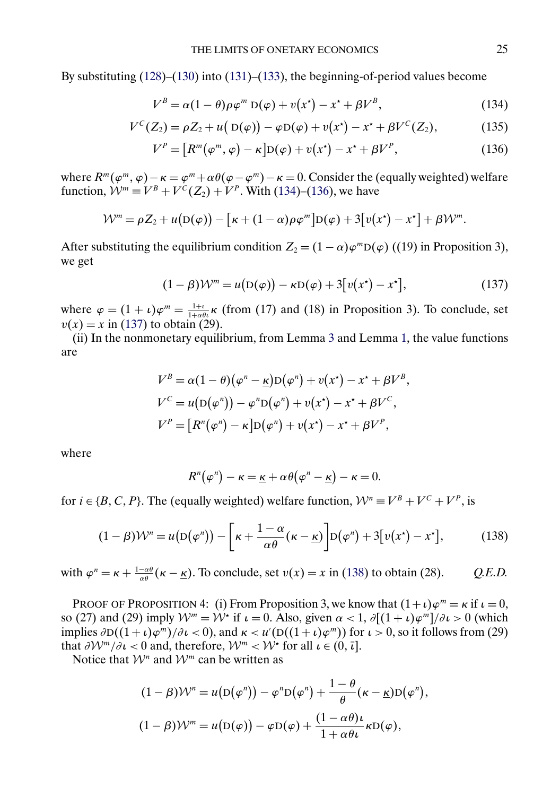By substituting [\(128\)](#page-23-0)–[\(130\)](#page-23-0) into [\(131\)](#page-23-0)–[\(133\)](#page-23-0), the beginning-of-period values become

$$
V^B = \alpha (1 - \theta) \rho \varphi^m D(\varphi) + v(x^*) - x^* + \beta V^B,
$$
\n(134)

$$
V^{C}(Z_{2}) = \rho Z_{2} + u(D(\varphi)) - \varphi D(\varphi) + v(x^{*}) - x^{*} + \beta V^{C}(Z_{2}), \qquad (135)
$$

$$
V^{P} = [R^{m}(\varphi^{m}, \varphi) - \kappa]D(\varphi) + v(x^{\star}) - x^{\star} + \beta V^{P}, \qquad (136)
$$

where  $R^m(\varphi^m, \varphi) - \kappa = \varphi^m + \alpha \theta(\varphi - \varphi^m) - \kappa = 0$ . Consider the (equally weighted) welfare function,  $W^m \equiv V^B + V^C(Z_2) + V^P$ . With (134)–(136), we have

$$
\mathcal{W}^m = \rho Z_2 + u(D(\varphi)) - [\kappa + (1-\alpha)\rho\varphi^m]D(\varphi) + 3[v(x^*) - x^*] + \beta\mathcal{W}^m.
$$

After substituting the equilibrium condition  $Z_2 = (1 - \alpha)\varphi^m D(\varphi)$  ((19) in Proposition 3), we get

$$
(1 - \beta)\mathcal{W}^m = u(D(\varphi)) - \kappa D(\varphi) + 3[v(x^*) - x^*],\tag{137}
$$

where  $\varphi = (1 + \iota)\varphi^m = \frac{1+\iota}{1+\alpha\theta\iota}\kappa$  (from (17) and (18) in Proposition 3). To conclude, set  $v(x) = x$  in (137) to obtain (29).

(ii) In the nonmonetary equilibrium, from Lemma [3](#page-5-0) and Lemma [1,](#page-1-0) the value functions are

$$
V^B = \alpha (1 - \theta) (\varphi^n - \underline{\kappa}) D(\varphi^n) + v(x^*) - x^* + \beta V^B,
$$
  
\n
$$
V^C = u(D(\varphi^n)) - \varphi^n D(\varphi^n) + v(x^*) - x^* + \beta V^C,
$$
  
\n
$$
V^P = [R^n(\varphi^n) - \kappa] D(\varphi^n) + v(x^*) - x^* + \beta V^P,
$$

where

$$
R^{n}(\varphi^{n}) - \kappa = \underline{\kappa} + \alpha \theta(\varphi^{n} - \underline{\kappa}) - \kappa = 0.
$$

for  $i \in \{B, C, P\}$ . The (equally weighted) welfare function,  $\mathcal{W}^n \equiv V^B + V^C + V^P$ , is

$$
(1 - \beta)\mathcal{W}^n = u(D(\varphi^n)) - \left[\kappa + \frac{1 - \alpha}{\alpha \theta}(\kappa - \underline{\kappa})\right]D(\varphi^n) + 3[v(x^*) - x^*],\tag{138}
$$

with  $\varphi^n = \kappa + \frac{1-\alpha\theta}{\alpha\theta}(\kappa - \underline{\kappa})$ . To conclude, set  $v(x) = x$  in (138) to obtain (28). *Q.E.D.* 

PROOF OF PROPOSITION 4: (i) From Proposition 3, we know that  $(1+\iota)\varphi^m = \kappa$  if  $\iota = 0$ , so (27) and (29) imply  $\mathcal{W}^m = \mathcal{W}^*$  if  $\iota = 0$ . Also, given  $\alpha < 1$ ,  $\partial[(1 + \iota)\varphi^m]/\partial \iota > 0$  (which implies  $\partial D((1+\iota)\varphi^m)/\partial \iota < 0$ ), and  $\kappa < u'(D((1+\iota)\varphi^m))$  for  $\iota > 0$ , so it follows from (29) that  $\partial W^m / \partial \iota < 0$  and, therefore,  $W^m < W^*$  for all  $\iota \in (0, \bar{\iota}]$ .

Notice that  $\mathcal{W}^n$  and  $\mathcal{W}^m$  can be written as

$$
(1 - \beta)\mathcal{W}^{n} = u(D(\varphi^{n})) - \varphi^{n}D(\varphi^{n}) + \frac{1 - \theta}{\theta}(\kappa - \underline{\kappa})D(\varphi^{n}),
$$

$$
(1 - \beta)\mathcal{W}^{m} = u(D(\varphi)) - \varphi D(\varphi) + \frac{(1 - \alpha\theta)\iota}{1 + \alpha\theta\iota}\kappa D(\varphi),
$$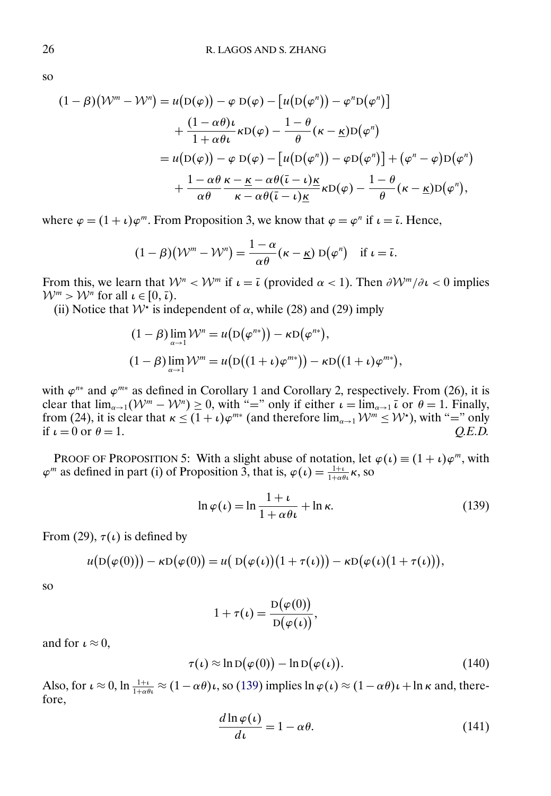<span id="page-25-0"></span>so

$$
(1 - \beta)(\mathcal{W}^m - \mathcal{W}^n) = u(D(\varphi)) - \varphi D(\varphi) - [u(D(\varphi^n)) - \varphi^n D(\varphi^n)]
$$
  
+ 
$$
\frac{(1 - \alpha \theta)\iota}{1 + \alpha \theta \iota} \kappa D(\varphi) - \frac{1 - \theta}{\theta} (\kappa - \underline{\kappa})D(\varphi^n)
$$
  
= 
$$
u(D(\varphi)) - \varphi D(\varphi) - [u(D(\varphi^n)) - \varphi D(\varphi^n)] + (\varphi^n - \varphi)D(\varphi^n)
$$
  
+ 
$$
\frac{1 - \alpha \theta}{\alpha \theta} \frac{\kappa - \underline{\kappa} - \alpha \theta(\overline{\iota} - \iota)\underline{\kappa}}{\kappa - \alpha \theta(\overline{\iota} - \iota)\underline{\kappa}} \kappa D(\varphi) - \frac{1 - \theta}{\theta} (\kappa - \underline{\kappa})D(\varphi^n),
$$

where  $\varphi = (1 + \iota)\varphi^m$ . From Proposition 3, we know that  $\varphi = \varphi^n$  if  $\iota = \overline{\iota}$ . Hence,

$$
(1 - \beta)(\mathcal{W}^m - \mathcal{W}^n) = \frac{1 - \alpha}{\alpha \theta} (\kappa - \underline{\kappa}) D(\varphi^n) \text{ if } \iota = \overline{\iota}.
$$

From this, we learn that  $W^n < W^m$  if  $\iota = \overline{\iota}$  (provided  $\alpha < 1$ ). Then  $\partial W^m / \partial \iota < 0$  implies  $W^m > W^n$  for all  $\iota \in [0, \bar{\iota}).$ 

(ii) Notice that  $W^*$  is independent of  $\alpha$ , while (28) and (29) imply

$$
(1 - \beta) \lim_{\alpha \to 1} \mathcal{W}^n = u(D(\varphi^{n*})) - \kappa D(\varphi^{n*}),
$$
  

$$
(1 - \beta) \lim_{\alpha \to 1} \mathcal{W}^m = u(D((1 + \iota)\varphi^{m*})) - \kappa D((1 + \iota)\varphi^{m*}),
$$

with  $\varphi^{n*}$  and  $\varphi^{m*}$  as defined in Corollary 1 and Corollary 2, respectively. From (26), it is clear that  $\lim_{\alpha\to 1} (\mathcal{W}^m - \mathcal{W}^n) \geq 0$ , with "=" only if either  $\iota = \lim_{\alpha\to 1} \overline{\iota}$  or  $\theta = 1$ . Finally, from (24), it is clear that  $\kappa \le (1 + \iota)\varphi^{m*}$  (and therefore  $\lim_{\alpha \to 1} \mathcal{W}^m \le \mathcal{W}^*$ ), with "=" only if  $\iota = 0$  or  $\theta = 1$ .  $Q.E.D.$ 

PROOF OF PROPOSITION 5: With a slight abuse of notation, let  $\varphi(\iota) \equiv (1 + \iota)\varphi^m$ , with  $\varphi^m$  as defined in part (i) of Proposition 3, that is,  $\varphi(\iota) = \frac{1+\iota}{1+\alpha\theta\iota} \kappa$ , so

$$
\ln \varphi(\iota) = \ln \frac{1+\iota}{1+\alpha \theta \iota} + \ln \kappa. \tag{139}
$$

From (29),  $\tau(\iota)$  is defined by

$$
u(D(\varphi(0))) - \kappa D(\varphi(0)) = u(D(\varphi(\iota))(1 + \tau(\iota))) - \kappa D(\varphi(\iota)(1 + \tau(\iota))),
$$

so

$$
1 + \tau(\iota) = \frac{D(\varphi(0))}{D(\varphi(\iota))},
$$

and for  $\iota \approx 0$ ,

$$
\tau(\iota) \approx \ln D(\varphi(0)) - \ln D(\varphi(\iota)). \tag{140}
$$

Also, for  $\iota \approx 0$ ,  $\ln \frac{1+\iota}{1+\alpha\theta\iota} \approx (1-\alpha\theta)\iota$ , so (139) implies  $\ln \varphi(\iota) \approx (1-\alpha\theta)\iota + \ln \kappa$  and, therefore,

$$
\frac{d\ln\varphi(\iota)}{d\iota} = 1 - \alpha\theta. \tag{141}
$$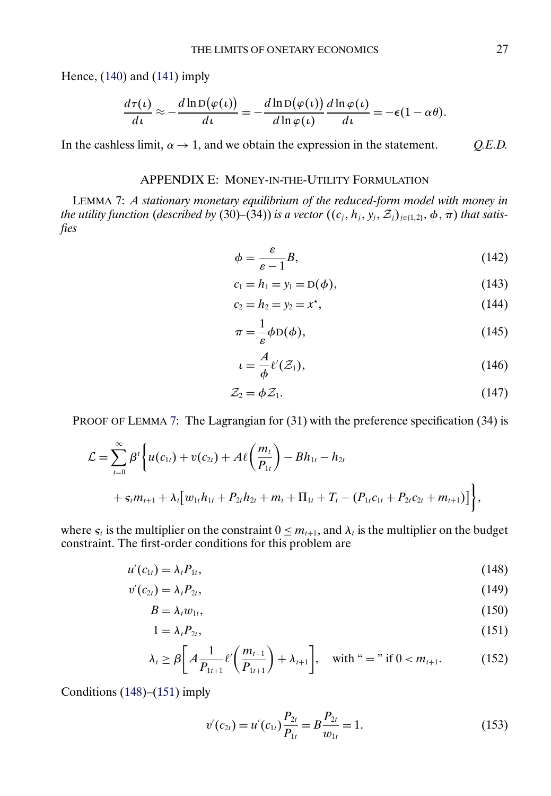<span id="page-26-0"></span>Hence,  $(140)$  and  $(141)$  imply

$$
\frac{d\tau(\iota)}{d\iota} \approx -\frac{d\ln D(\varphi(\iota))}{d\iota} = -\frac{d\ln D(\varphi(\iota))}{d\ln \varphi(\iota)}\frac{d\ln \varphi(\iota)}{d\iota} = -\epsilon(1-\alpha\theta).
$$

In the cashless limit,  $\alpha \rightarrow 1$ , and we obtain the expression in the statement. *Q.E.D.* 

## APPENDIX E: MONEY-IN-THE-UTILITY FORMULATION

LEMMA 7: *A stationary monetary equilibrium of the reduced-form model with money in the utility function (described by (30)–(34)) is a vector*  $((c_j, h_j, y_j, \mathcal{Z}_j)_{j \in \{1,2\}}, \phi, \pi)$  *<i>that satisfies*

$$
\phi = \frac{\varepsilon}{\varepsilon - 1} B,\tag{142}
$$

$$
c_1 = h_1 = y_1 = D(\phi), \tag{143}
$$

$$
c_2 = h_2 = y_2 = x^*,\tag{144}
$$

$$
\pi = -\frac{1}{\varepsilon} \phi \mathcal{D}(\phi),\tag{145}
$$

$$
u = \frac{A}{\phi} \ell'(\mathcal{Z}_1), \tag{146}
$$

$$
\mathcal{Z}_2 = \phi \mathcal{Z}_1. \tag{147}
$$

PROOF OF LEMMA 7: The Lagrangian for (31) with the preference specification (34) is

$$
\mathcal{L} = \sum_{t=0}^{\infty} \beta^{t} \Biggl\{ u(c_{1t}) + v(c_{2t}) + A\ell \biggl( \frac{m_{t}}{P_{1t}} \biggr) - Bh_{1t} - h_{2t} + s_{t}m_{t+1} + \lambda_{t} \bigl[ w_{1t}h_{1t} + P_{2t}h_{2t} + m_{t} + \Pi_{1t} + T_{t} - (P_{1t}c_{1t} + P_{2t}c_{2t} + m_{t+1}) \bigr] \Biggr\},\,
$$

where  $s_t$  is the multiplier on the constraint  $0 \le m_{t+1}$ , and  $\lambda_t$  is the multiplier on the budget constraint. The first-order conditions for this problem are

$$
u'(c_{1t}) = \lambda_t P_{1t},\tag{148}
$$

$$
v'(c_{2t}) = \lambda_t P_{2t}, \tag{149}
$$

$$
B = \lambda_t w_{1t},\tag{150}
$$

$$
1 = \lambda_t P_{2t},\tag{151}
$$

$$
\lambda_{t} \geq \beta \bigg[ A \frac{1}{P_{1t+1}} \ell' \bigg( \frac{m_{t+1}}{P_{1t+1}} \bigg) + \lambda_{t+1} \bigg], \quad \text{with } \text{``} = \text{'' if } 0 < m_{t+1}. \tag{152}
$$

Conditions  $(148)$ – $(151)$  imply

$$
v'(c_{2t}) = u'(c_{1t})\frac{P_{2t}}{P_{1t}} = B\frac{P_{2t}}{w_{1t}} = 1.
$$
\n(153)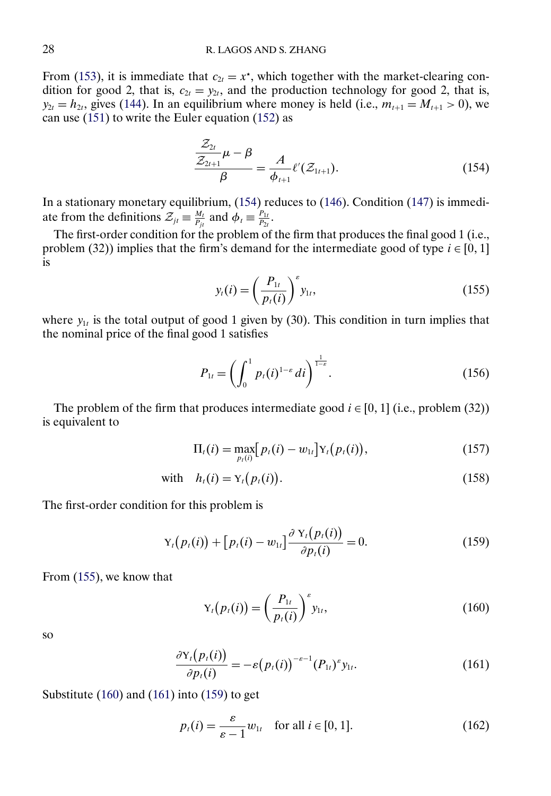<span id="page-27-0"></span>From [\(153\)](#page-26-0), it is immediate that  $c_{2t} = x^*$ , which together with the market-clearing condition for good 2, that is,  $c_{2t} = y_{2t}$ , and the production technology for good 2, that is,  $y_{2t} = h_{2t}$ , gives [\(144\)](#page-26-0). In an equilibrium where money is held (i.e.,  $m_{t+1} = M_{t+1} > 0$ ), we can use [\(151\)](#page-26-0) to write the Euler equation [\(152\)](#page-26-0) as

$$
\frac{\mathcal{Z}_{2t}}{\mathcal{Z}_{2t+1}}\mu - \beta = \frac{A}{\phi_{t+1}}\ell'(\mathcal{Z}_{1t+1}).
$$
\n(154)

In a stationary monetary equilibrium, (154) reduces to [\(146\)](#page-26-0). Condition [\(147\)](#page-26-0) is immediate from the definitions  $\mathcal{Z}_{jt} \equiv \frac{M_t}{P_{jt}}$  and  $\phi_t \equiv \frac{P_{1t}}{P_{2t}}$ .

The first-order condition for the problem of the firm that produces the final good 1 (i.e., problem (32)) implies that the firm's demand for the intermediate good of type  $i \in [0, 1]$ is

$$
y_t(i) = \left(\frac{P_{1t}}{p_t(i)}\right)^s y_{1t},
$$
\n(155)

where  $y_{1t}$  is the total output of good 1 given by (30). This condition in turn implies that the nominal price of the final good 1 satisfies

$$
P_{1t} = \left(\int_0^1 p_t(i)^{1-\varepsilon} \, di\right)^{\frac{1}{1-\varepsilon}}.\tag{156}
$$

The problem of the firm that produces intermediate good  $i \in [0, 1]$  (i.e., problem (32)) is equivalent to

$$
\Pi_t(i) = \max_{p_t(i)} [p_t(i) - w_{1t}] Y_t(p_t(i)), \qquad (157)
$$

with 
$$
h_t(i) = Y_t(p_t(i)).
$$
 (158)

The first-order condition for this problem is

$$
Y_t(p_t(i)) + [p_t(i) - w_{1t}] \frac{\partial Y_t(p_t(i))}{\partial p_t(i)} = 0.
$$
 (159)

From (155), we know that

$$
\mathbf{Y}_t(p_t(i)) = \left(\frac{P_{1t}}{p_t(i)}\right)^s y_{1t},\tag{160}
$$

so

$$
\frac{\partial \mathbf{Y}_t(p_t(i))}{\partial p_t(i)} = -\varepsilon (p_t(i))^{-\varepsilon-1} (P_{1t})^{\varepsilon} y_{1t}.
$$
\n(161)

Substitute (160) and (161) into (159) to get

$$
p_t(i) = \frac{\varepsilon}{\varepsilon - 1} w_{1t} \quad \text{for all } i \in [0, 1]. \tag{162}
$$